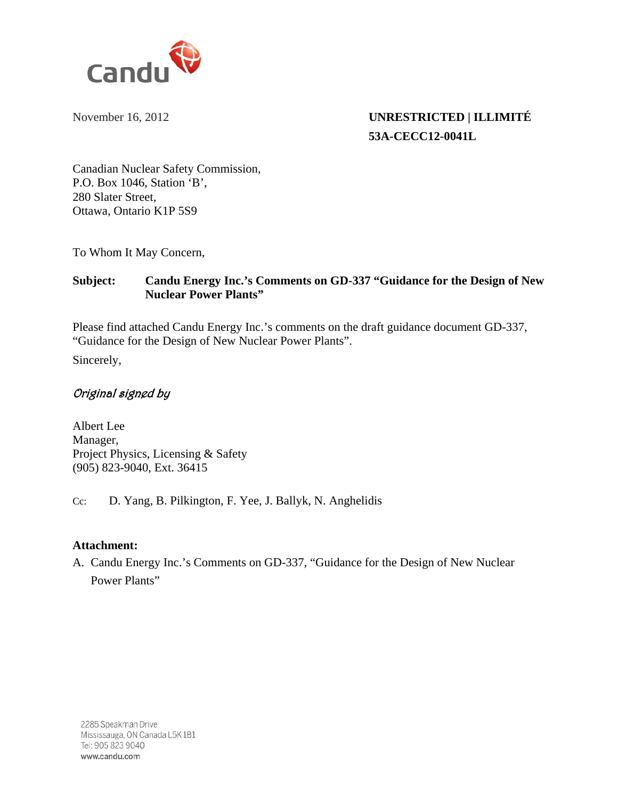

November 16, 2012 **UNRESTRICTED | ILLIMITÉ 53A-CECC12-0041L** 

Canadian Nuclear Safety Commission, P.O. Box 1046, Station 'B', 280 Slater Street, Ottawa, Ontario K1P 5S9

To Whom It May Concern,

### **Subject: Candu Energy Inc.'s Comments on GD-337 "Guidance for the Design of New Nuclear Power Plants"**

Please find attached Candu Energy Inc.'s comments on the draft guidance document GD-337, "Guidance for the Design of New Nuclear Power Plants".

Sincerely,

### Original signed by

Albert Lee Manager, Project Physics, Licensing & Safety (905) 823-9040, Ext. 36415

Cc: D. Yang, B. Pilkington, F. Yee, J. Ballyk, N. Anghelidis

### **Attachment:**

A. Candu Energy Inc.'s Comments on GD-337, "Guidance for the Design of New Nuclear Power Plants"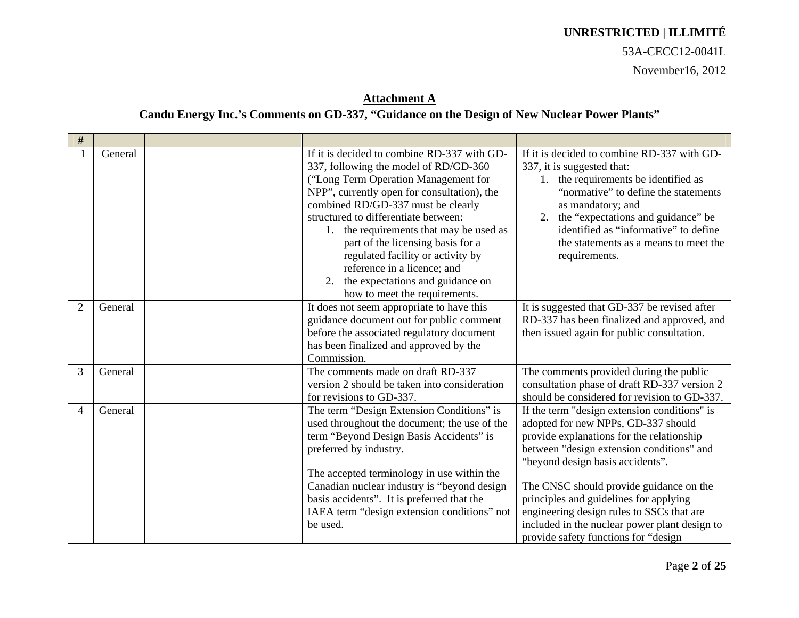#### 53A-CECC12-0041L

November16, 2012

### **Attachment A Candu Energy Inc.'s Comments on GD-337, "Guidance on the Design of New Nuclear Power Plants"**

| #              |         |                                                                                                                                                                                                                                                                                                                                                                                                                                                                                       |                                                                                                                                                                                                                                                                                                                                                                                                                                              |
|----------------|---------|---------------------------------------------------------------------------------------------------------------------------------------------------------------------------------------------------------------------------------------------------------------------------------------------------------------------------------------------------------------------------------------------------------------------------------------------------------------------------------------|----------------------------------------------------------------------------------------------------------------------------------------------------------------------------------------------------------------------------------------------------------------------------------------------------------------------------------------------------------------------------------------------------------------------------------------------|
|                | General | If it is decided to combine RD-337 with GD-<br>337, following the model of RD/GD-360<br>("Long Term Operation Management for<br>NPP", currently open for consultation), the<br>combined RD/GD-337 must be clearly<br>structured to differentiate between:<br>1. the requirements that may be used as<br>part of the licensing basis for a<br>regulated facility or activity by<br>reference in a licence; and<br>2. the expectations and guidance on<br>how to meet the requirements. | If it is decided to combine RD-337 with GD-<br>337, it is suggested that:<br>1. the requirements be identified as<br>"normative" to define the statements<br>as mandatory; and<br>the "expectations and guidance" be<br>2.<br>identified as "informative" to define<br>the statements as a means to meet the<br>requirements.                                                                                                                |
| $\overline{2}$ | General | It does not seem appropriate to have this<br>guidance document out for public comment<br>before the associated regulatory document<br>has been finalized and approved by the<br>Commission.                                                                                                                                                                                                                                                                                           | It is suggested that GD-337 be revised after<br>RD-337 has been finalized and approved, and<br>then issued again for public consultation.                                                                                                                                                                                                                                                                                                    |
| 3              | General | The comments made on draft RD-337<br>version 2 should be taken into consideration<br>for revisions to GD-337.                                                                                                                                                                                                                                                                                                                                                                         | The comments provided during the public<br>consultation phase of draft RD-337 version 2<br>should be considered for revision to GD-337.                                                                                                                                                                                                                                                                                                      |
| $\overline{4}$ | General | The term "Design Extension Conditions" is<br>used throughout the document; the use of the<br>term "Beyond Design Basis Accidents" is<br>preferred by industry.<br>The accepted terminology in use within the<br>Canadian nuclear industry is "beyond design<br>basis accidents". It is preferred that the<br>IAEA term "design extension conditions" not<br>be used.                                                                                                                  | If the term "design extension conditions" is<br>adopted for new NPPs, GD-337 should<br>provide explanations for the relationship<br>between "design extension conditions" and<br>"beyond design basis accidents".<br>The CNSC should provide guidance on the<br>principles and guidelines for applying<br>engineering design rules to SSCs that are<br>included in the nuclear power plant design to<br>provide safety functions for "design |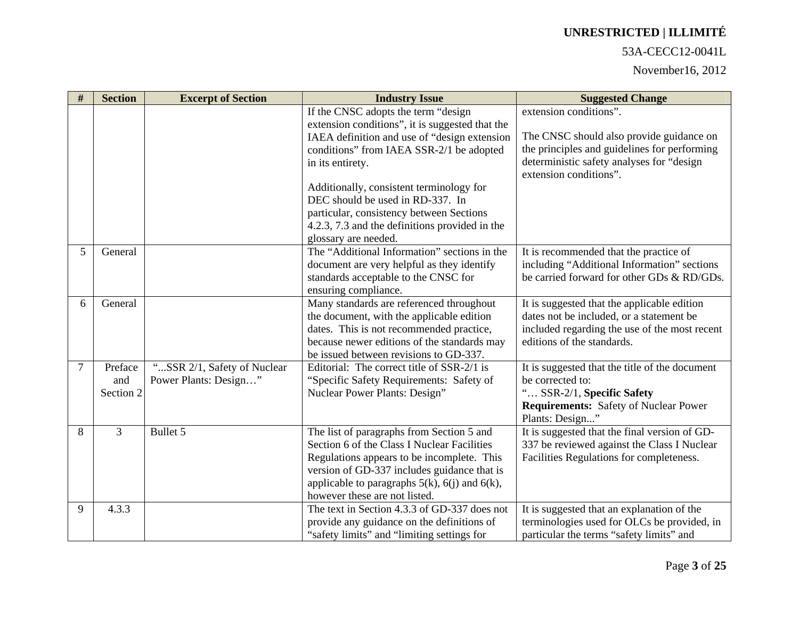### 53A-CECC12-0041L

| $\#$   | <b>Section</b> | <b>Excerpt of Section</b>   | <b>Industry Issue</b>                                 | <b>Suggested Change</b>                        |
|--------|----------------|-----------------------------|-------------------------------------------------------|------------------------------------------------|
|        |                |                             | If the CNSC adopts the term "design                   | extension conditions".                         |
|        |                |                             | extension conditions", it is suggested that the       | The CNSC should also provide guidance on       |
|        |                |                             | IAEA definition and use of "design extension          | the principles and guidelines for performing   |
|        |                |                             | conditions" from IAEA SSR-2/1 be adopted              | deterministic safety analyses for "design      |
|        |                |                             | in its entirety.                                      | extension conditions".                         |
|        |                |                             | Additionally, consistent terminology for              |                                                |
|        |                |                             | DEC should be used in RD-337. In                      |                                                |
|        |                |                             | particular, consistency between Sections              |                                                |
|        |                |                             | 4.2.3, 7.3 and the definitions provided in the        |                                                |
|        |                |                             | glossary are needed.                                  |                                                |
| 5      | General        |                             | The "Additional Information" sections in the          | It is recommended that the practice of         |
|        |                |                             | document are very helpful as they identify            | including "Additional Information" sections    |
|        |                |                             | standards acceptable to the CNSC for                  | be carried forward for other GDs & RD/GDs.     |
|        |                |                             | ensuring compliance.                                  |                                                |
| 6      | General        |                             | Many standards are referenced throughout              | It is suggested that the applicable edition    |
|        |                |                             | the document, with the applicable edition             | dates not be included, or a statement be       |
|        |                |                             | dates. This is not recommended practice,              | included regarding the use of the most recent  |
|        |                |                             | because newer editions of the standards may           | editions of the standards.                     |
|        |                |                             | be issued between revisions to GD-337.                |                                                |
| $\tau$ | Preface        | "SSR 2/1, Safety of Nuclear | Editorial: The correct title of SSR-2/1 is            | It is suggested that the title of the document |
|        | and            | Power Plants: Design"       | "Specific Safety Requirements: Safety of              | be corrected to:                               |
|        | Section 2      |                             | Nuclear Power Plants: Design"                         | " SSR-2/1, Specific Safety                     |
|        |                |                             |                                                       | <b>Requirements:</b> Safety of Nuclear Power   |
|        |                |                             |                                                       | Plants: Design"                                |
| 8      | 3              | Bullet 5                    | The list of paragraphs from Section 5 and             | It is suggested that the final version of GD-  |
|        |                |                             | Section 6 of the Class I Nuclear Facilities           | 337 be reviewed against the Class I Nuclear    |
|        |                |                             | Regulations appears to be incomplete. This            | Facilities Regulations for completeness.       |
|        |                |                             | version of GD-337 includes guidance that is           |                                                |
|        |                |                             | applicable to paragraphs $5(k)$ , $6(j)$ and $6(k)$ , |                                                |
|        |                |                             | however these are not listed.                         |                                                |
| 9      | 4.3.3          |                             | The text in Section 4.3.3 of GD-337 does not          | It is suggested that an explanation of the     |
|        |                |                             | provide any guidance on the definitions of            | terminologies used for OLCs be provided, in    |
|        |                |                             | "safety limits" and "limiting settings for            | particular the terms "safety limits" and       |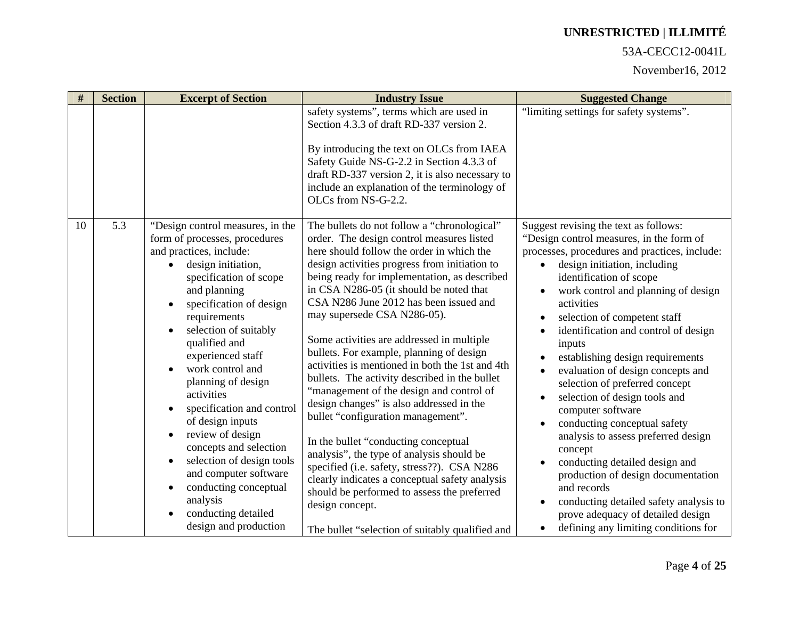### 53A-CECC12-0041L

| #  | <b>Section</b> | <b>Excerpt of Section</b>                                                                                                                                                                                                                                                                                                                                                                                                                                                                                                                                                                                                                 | <b>Industry Issue</b>                                                                                                                                                                                                                                                                                                                                                                                                                                                                                                                                                                                                                                                                                                                                                                                                                                                                                                                                                                            | <b>Suggested Change</b>                                                                                                                                                                                                                                                                                                                                                                                                                                                                                                                                                                                                                                                                                                                                                                               |
|----|----------------|-------------------------------------------------------------------------------------------------------------------------------------------------------------------------------------------------------------------------------------------------------------------------------------------------------------------------------------------------------------------------------------------------------------------------------------------------------------------------------------------------------------------------------------------------------------------------------------------------------------------------------------------|--------------------------------------------------------------------------------------------------------------------------------------------------------------------------------------------------------------------------------------------------------------------------------------------------------------------------------------------------------------------------------------------------------------------------------------------------------------------------------------------------------------------------------------------------------------------------------------------------------------------------------------------------------------------------------------------------------------------------------------------------------------------------------------------------------------------------------------------------------------------------------------------------------------------------------------------------------------------------------------------------|-------------------------------------------------------------------------------------------------------------------------------------------------------------------------------------------------------------------------------------------------------------------------------------------------------------------------------------------------------------------------------------------------------------------------------------------------------------------------------------------------------------------------------------------------------------------------------------------------------------------------------------------------------------------------------------------------------------------------------------------------------------------------------------------------------|
|    |                |                                                                                                                                                                                                                                                                                                                                                                                                                                                                                                                                                                                                                                           | safety systems", terms which are used in<br>Section 4.3.3 of draft RD-337 version 2.<br>By introducing the text on OLCs from IAEA<br>Safety Guide NS-G-2.2 in Section 4.3.3 of<br>draft RD-337 version 2, it is also necessary to<br>include an explanation of the terminology of<br>OLCs from NS-G-2.2.                                                                                                                                                                                                                                                                                                                                                                                                                                                                                                                                                                                                                                                                                         | "limiting settings for safety systems".                                                                                                                                                                                                                                                                                                                                                                                                                                                                                                                                                                                                                                                                                                                                                               |
| 10 | 5.3            | "Design control measures, in the<br>form of processes, procedures<br>and practices, include:<br>design initiation,<br>$\bullet$<br>specification of scope<br>and planning<br>specification of design<br>requirements<br>selection of suitably<br>qualified and<br>experienced staff<br>work control and<br>$\bullet$<br>planning of design<br>activities<br>specification and control<br>of design inputs<br>review of design<br>$\bullet$<br>concepts and selection<br>selection of design tools<br>$\bullet$<br>and computer software<br>conducting conceptual<br>analysis<br>conducting detailed<br>$\bullet$<br>design and production | The bullets do not follow a "chronological"<br>order. The design control measures listed<br>here should follow the order in which the<br>design activities progress from initiation to<br>being ready for implementation, as described<br>in CSA N286-05 (it should be noted that<br>CSA N286 June 2012 has been issued and<br>may supersede CSA N286-05).<br>Some activities are addressed in multiple<br>bullets. For example, planning of design<br>activities is mentioned in both the 1st and 4th<br>bullets. The activity described in the bullet<br>"management of the design and control of<br>design changes" is also addressed in the<br>bullet "configuration management".<br>In the bullet "conducting conceptual<br>analysis", the type of analysis should be<br>specified (i.e. safety, stress??). CSA N286<br>clearly indicates a conceptual safety analysis<br>should be performed to assess the preferred<br>design concept.<br>The bullet "selection of suitably qualified and | Suggest revising the text as follows:<br>"Design control measures, in the form of<br>processes, procedures and practices, include:<br>design initiation, including<br>identification of scope<br>work control and planning of design<br>activities<br>selection of competent staff<br>identification and control of design<br>inputs<br>establishing design requirements<br>evaluation of design concepts and<br>selection of preferred concept<br>selection of design tools and<br>computer software<br>conducting conceptual safety<br>analysis to assess preferred design<br>concept<br>conducting detailed design and<br>production of design documentation<br>and records<br>conducting detailed safety analysis to<br>prove adequacy of detailed design<br>defining any limiting conditions for |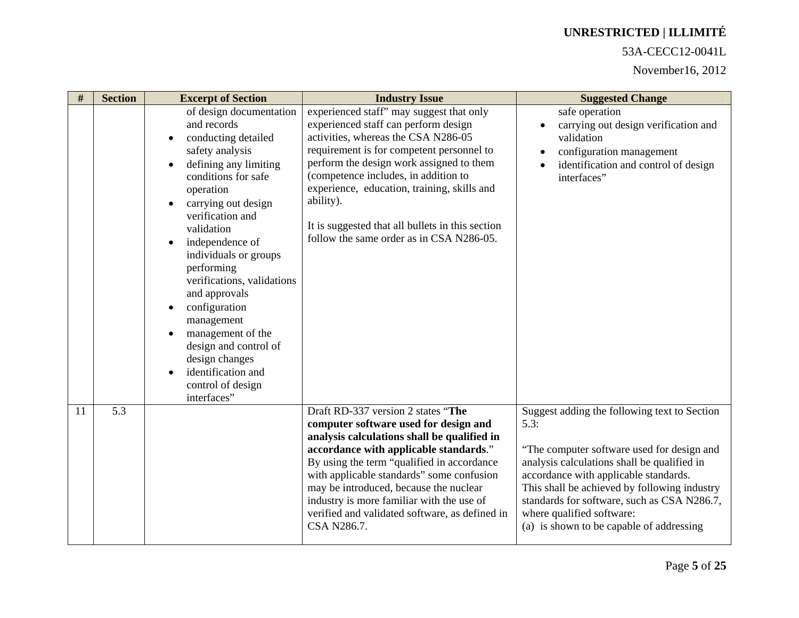### 53A-CECC12-0041L

| $\#$ | <b>Section</b> | <b>Excerpt of Section</b>                                                                                                                                                                                                                                                                                                                                                                                                                                                                                                    | <b>Industry Issue</b>                                                                                                                                                                                                                                                                                                                                                                                                    | <b>Suggested Change</b>                                                                                                                                                                                                                                                                                                                                            |
|------|----------------|------------------------------------------------------------------------------------------------------------------------------------------------------------------------------------------------------------------------------------------------------------------------------------------------------------------------------------------------------------------------------------------------------------------------------------------------------------------------------------------------------------------------------|--------------------------------------------------------------------------------------------------------------------------------------------------------------------------------------------------------------------------------------------------------------------------------------------------------------------------------------------------------------------------------------------------------------------------|--------------------------------------------------------------------------------------------------------------------------------------------------------------------------------------------------------------------------------------------------------------------------------------------------------------------------------------------------------------------|
|      |                | of design documentation<br>and records<br>conducting detailed<br>safety analysis<br>defining any limiting<br>$\bullet$<br>conditions for safe<br>operation<br>carrying out design<br>$\bullet$<br>verification and<br>validation<br>independence of<br>$\bullet$<br>individuals or groups<br>performing<br>verifications, validations<br>and approvals<br>configuration<br>management<br>management of the<br>design and control of<br>design changes<br>identification and<br>$\bullet$<br>control of design<br>interfaces" | experienced staff" may suggest that only<br>experienced staff can perform design<br>activities, whereas the CSA N286-05<br>requirement is for competent personnel to<br>perform the design work assigned to them<br>(competence includes, in addition to<br>experience, education, training, skills and<br>ability).<br>It is suggested that all bullets in this section<br>follow the same order as in CSA N286-05.     | safe operation<br>carrying out design verification and<br>validation<br>configuration management<br>identification and control of design<br>interfaces"                                                                                                                                                                                                            |
| 11   | 5.3            |                                                                                                                                                                                                                                                                                                                                                                                                                                                                                                                              | Draft RD-337 version 2 states "The<br>computer software used for design and<br>analysis calculations shall be qualified in<br>accordance with applicable standards."<br>By using the term "qualified in accordance"<br>with applicable standards" some confusion<br>may be introduced, because the nuclear<br>industry is more familiar with the use of<br>verified and validated software, as defined in<br>CSA N286.7. | Suggest adding the following text to Section<br>5.3:<br>"The computer software used for design and<br>analysis calculations shall be qualified in<br>accordance with applicable standards.<br>This shall be achieved by following industry<br>standards for software, such as CSA N286.7,<br>where qualified software:<br>(a) is shown to be capable of addressing |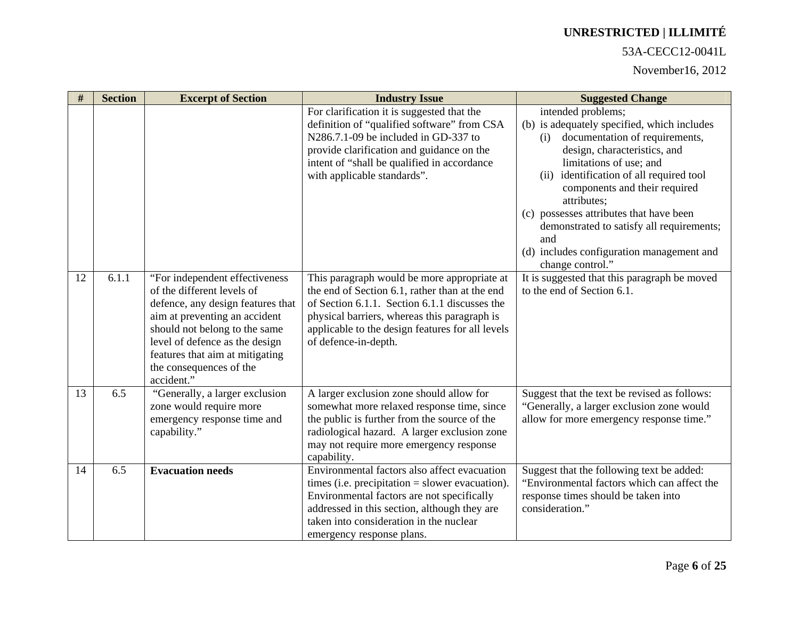### 53A-CECC12-0041L

| #  | <b>Section</b> | <b>Excerpt of Section</b>                                                                                                                                                                                                                                                         | <b>Industry Issue</b>                                                                                                                                                                                                                                                      | <b>Suggested Change</b>                                                                                                                                                                                                                                                                                                                                                                                                              |
|----|----------------|-----------------------------------------------------------------------------------------------------------------------------------------------------------------------------------------------------------------------------------------------------------------------------------|----------------------------------------------------------------------------------------------------------------------------------------------------------------------------------------------------------------------------------------------------------------------------|--------------------------------------------------------------------------------------------------------------------------------------------------------------------------------------------------------------------------------------------------------------------------------------------------------------------------------------------------------------------------------------------------------------------------------------|
|    |                |                                                                                                                                                                                                                                                                                   | For clarification it is suggested that the<br>definition of "qualified software" from CSA<br>N286.7.1-09 be included in GD-337 to<br>provide clarification and guidance on the<br>intent of "shall be qualified in accordance<br>with applicable standards".               | intended problems;<br>(b) is adequately specified, which includes<br>documentation of requirements,<br>(i)<br>design, characteristics, and<br>limitations of use; and<br>identification of all required tool<br>(ii)<br>components and their required<br>attributes;<br>(c) possesses attributes that have been<br>demonstrated to satisfy all requirements;<br>and<br>(d) includes configuration management and<br>change control." |
| 12 | 6.1.1          | "For independent effectiveness<br>of the different levels of<br>defence, any design features that<br>aim at preventing an accident<br>should not belong to the same<br>level of defence as the design<br>features that aim at mitigating<br>the consequences of the<br>accident." | This paragraph would be more appropriate at<br>the end of Section 6.1, rather than at the end<br>of Section 6.1.1. Section 6.1.1 discusses the<br>physical barriers, whereas this paragraph is<br>applicable to the design features for all levels<br>of defence-in-depth. | It is suggested that this paragraph be moved<br>to the end of Section 6.1.                                                                                                                                                                                                                                                                                                                                                           |
| 13 | 6.5            | "Generally, a larger exclusion<br>zone would require more<br>emergency response time and<br>capability."                                                                                                                                                                          | A larger exclusion zone should allow for<br>somewhat more relaxed response time, since<br>the public is further from the source of the<br>radiological hazard. A larger exclusion zone<br>may not require more emergency response<br>capability.                           | Suggest that the text be revised as follows:<br>"Generally, a larger exclusion zone would<br>allow for more emergency response time."                                                                                                                                                                                                                                                                                                |
| 14 | 6.5            | <b>Evacuation needs</b>                                                                                                                                                                                                                                                           | Environmental factors also affect evacuation<br>times (i.e. precipitation $=$ slower evacuation).<br>Environmental factors are not specifically<br>addressed in this section, although they are<br>taken into consideration in the nuclear<br>emergency response plans.    | Suggest that the following text be added:<br>"Environmental factors which can affect the<br>response times should be taken into<br>consideration."                                                                                                                                                                                                                                                                                   |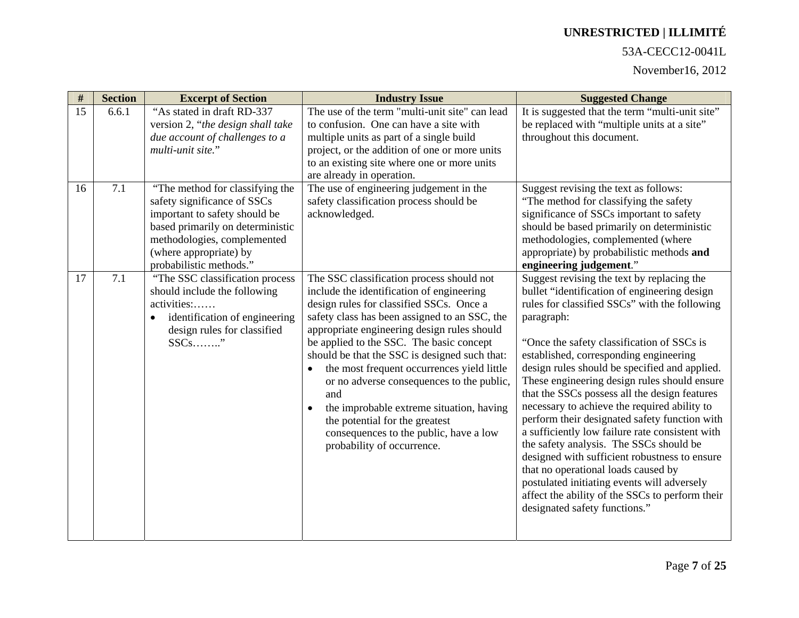### 53A-CECC12-0041L

| $\#$ | <b>Section</b> | <b>Excerpt of Section</b>                                                                                                                                                                                               | <b>Industry Issue</b>                                                                                                                                                                                                                                                                                                                                                                                                                                                                                                                                                                   | <b>Suggested Change</b>                                                                                                                                                                                                                                                                                                                                                                                                                                                                                                                                                                                                                                                                                                                                                                                                       |
|------|----------------|-------------------------------------------------------------------------------------------------------------------------------------------------------------------------------------------------------------------------|-----------------------------------------------------------------------------------------------------------------------------------------------------------------------------------------------------------------------------------------------------------------------------------------------------------------------------------------------------------------------------------------------------------------------------------------------------------------------------------------------------------------------------------------------------------------------------------------|-------------------------------------------------------------------------------------------------------------------------------------------------------------------------------------------------------------------------------------------------------------------------------------------------------------------------------------------------------------------------------------------------------------------------------------------------------------------------------------------------------------------------------------------------------------------------------------------------------------------------------------------------------------------------------------------------------------------------------------------------------------------------------------------------------------------------------|
| 15   | 6.6.1          | "As stated in draft RD-337<br>version 2, "the design shall take<br>due account of challenges to a<br>multi-unit site."                                                                                                  | The use of the term "multi-unit site" can lead<br>to confusion. One can have a site with<br>multiple units as part of a single build<br>project, or the addition of one or more units<br>to an existing site where one or more units<br>are already in operation.                                                                                                                                                                                                                                                                                                                       | It is suggested that the term "multi-unit site"<br>be replaced with "multiple units at a site"<br>throughout this document.                                                                                                                                                                                                                                                                                                                                                                                                                                                                                                                                                                                                                                                                                                   |
| 16   | 7.1            | "The method for classifying the<br>safety significance of SSCs<br>important to safety should be<br>based primarily on deterministic<br>methodologies, complemented<br>(where appropriate) by<br>probabilistic methods." | The use of engineering judgement in the<br>safety classification process should be<br>acknowledged.                                                                                                                                                                                                                                                                                                                                                                                                                                                                                     | Suggest revising the text as follows:<br>"The method for classifying the safety"<br>significance of SSCs important to safety<br>should be based primarily on deterministic<br>methodologies, complemented (where<br>appropriate) by probabilistic methods and<br>engineering judgement."                                                                                                                                                                                                                                                                                                                                                                                                                                                                                                                                      |
| 17   | 7.1            | "The SSC classification process<br>should include the following<br>activities:<br>identification of engineering<br>$\bullet$<br>design rules for classified<br>$SSCs$ "                                                 | The SSC classification process should not<br>include the identification of engineering<br>design rules for classified SSCs. Once a<br>safety class has been assigned to an SSC, the<br>appropriate engineering design rules should<br>be applied to the SSC. The basic concept<br>should be that the SSC is designed such that:<br>the most frequent occurrences yield little<br>or no adverse consequences to the public,<br>and<br>the improbable extreme situation, having<br>the potential for the greatest<br>consequences to the public, have a low<br>probability of occurrence. | Suggest revising the text by replacing the<br>bullet "identification of engineering design<br>rules for classified SSCs" with the following<br>paragraph:<br>"Once the safety classification of SSCs is<br>established, corresponding engineering<br>design rules should be specified and applied.<br>These engineering design rules should ensure<br>that the SSCs possess all the design features<br>necessary to achieve the required ability to<br>perform their designated safety function with<br>a sufficiently low failure rate consistent with<br>the safety analysis. The SSCs should be<br>designed with sufficient robustness to ensure<br>that no operational loads caused by<br>postulated initiating events will adversely<br>affect the ability of the SSCs to perform their<br>designated safety functions." |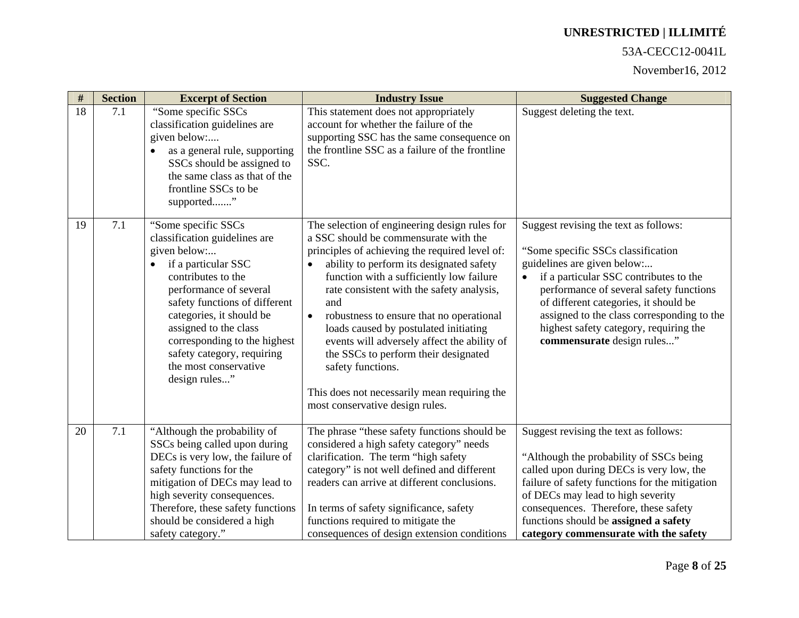### 53A-CECC12-0041L

| #  | <b>Section</b> | <b>Excerpt of Section</b>                                                                                                                                                                                                                                                                                                                              | <b>Industry Issue</b>                                                                                                                                                                                                                                                                                                                                                                                                                                                                                                                                                                 | <b>Suggested Change</b>                                                                                                                                                                                                                                                                                                                                       |
|----|----------------|--------------------------------------------------------------------------------------------------------------------------------------------------------------------------------------------------------------------------------------------------------------------------------------------------------------------------------------------------------|---------------------------------------------------------------------------------------------------------------------------------------------------------------------------------------------------------------------------------------------------------------------------------------------------------------------------------------------------------------------------------------------------------------------------------------------------------------------------------------------------------------------------------------------------------------------------------------|---------------------------------------------------------------------------------------------------------------------------------------------------------------------------------------------------------------------------------------------------------------------------------------------------------------------------------------------------------------|
| 18 | 7.1            | "Some specific SSCs<br>classification guidelines are<br>given below:<br>as a general rule, supporting<br>$\bullet$<br>SSCs should be assigned to<br>the same class as that of the<br>frontline SSCs to be<br>supported"                                                                                                                                | This statement does not appropriately<br>account for whether the failure of the<br>supporting SSC has the same consequence on<br>the frontline SSC as a failure of the frontline<br>SSC.                                                                                                                                                                                                                                                                                                                                                                                              | Suggest deleting the text.                                                                                                                                                                                                                                                                                                                                    |
| 19 | 7.1            | "Some specific SSCs<br>classification guidelines are<br>given below:<br>if a particular SSC<br>$\bullet$<br>contributes to the<br>performance of several<br>safety functions of different<br>categories, it should be<br>assigned to the class<br>corresponding to the highest<br>safety category, requiring<br>the most conservative<br>design rules" | The selection of engineering design rules for<br>a SSC should be commensurate with the<br>principles of achieving the required level of:<br>ability to perform its designated safety<br>function with a sufficiently low failure<br>rate consistent with the safety analysis,<br>and<br>robustness to ensure that no operational<br>$\bullet$<br>loads caused by postulated initiating<br>events will adversely affect the ability of<br>the SSCs to perform their designated<br>safety functions.<br>This does not necessarily mean requiring the<br>most conservative design rules. | Suggest revising the text as follows:<br>"Some specific SSCs classification<br>guidelines are given below<br>if a particular SSC contributes to the<br>performance of several safety functions<br>of different categories, it should be<br>assigned to the class corresponding to the<br>highest safety category, requiring the<br>commensurate design rules" |
| 20 | 7.1            | "Although the probability of<br>SSCs being called upon during<br>DECs is very low, the failure of<br>safety functions for the<br>mitigation of DECs may lead to<br>high severity consequences.<br>Therefore, these safety functions<br>should be considered a high<br>safety category."                                                                | The phrase "these safety functions should be<br>considered a high safety category" needs<br>clarification. The term "high safety<br>category" is not well defined and different<br>readers can arrive at different conclusions.<br>In terms of safety significance, safety<br>functions required to mitigate the<br>consequences of design extension conditions                                                                                                                                                                                                                       | Suggest revising the text as follows:<br>"Although the probability of SSCs being<br>called upon during DECs is very low, the<br>failure of safety functions for the mitigation<br>of DECs may lead to high severity<br>consequences. Therefore, these safety<br>functions should be assigned a safety<br>category commensurate with the safety                |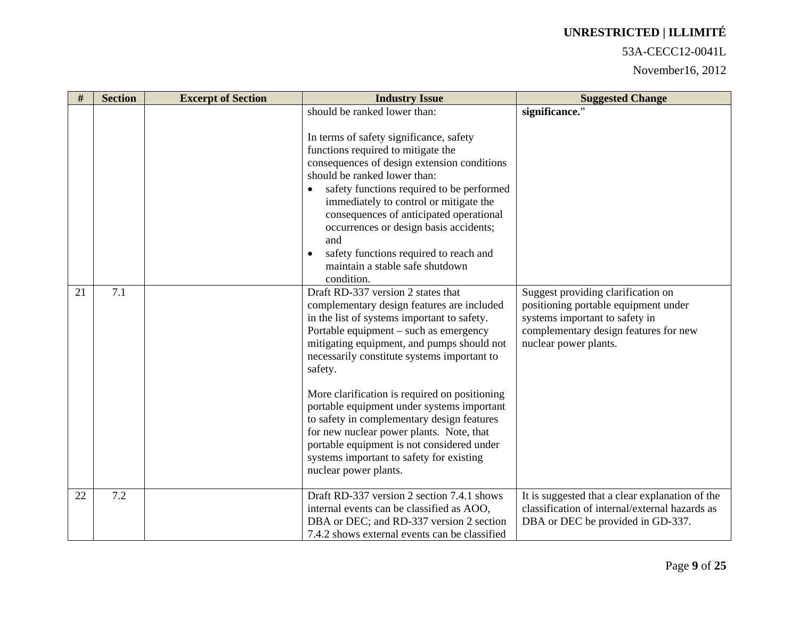### 53A-CECC12-0041L

| $\#$ | <b>Section</b> | <b>Excerpt of Section</b> | <b>Industry Issue</b>                                                                                                                                                                                                                                                                                                                                                                                                                                                                                                                                                                         | <b>Suggested Change</b>                                                                                                                                                        |
|------|----------------|---------------------------|-----------------------------------------------------------------------------------------------------------------------------------------------------------------------------------------------------------------------------------------------------------------------------------------------------------------------------------------------------------------------------------------------------------------------------------------------------------------------------------------------------------------------------------------------------------------------------------------------|--------------------------------------------------------------------------------------------------------------------------------------------------------------------------------|
|      |                |                           | should be ranked lower than:<br>In terms of safety significance, safety<br>functions required to mitigate the<br>consequences of design extension conditions<br>should be ranked lower than:<br>safety functions required to be performed<br>immediately to control or mitigate the<br>consequences of anticipated operational<br>occurrences or design basis accidents;<br>and<br>safety functions required to reach and<br>maintain a stable safe shutdown<br>condition.                                                                                                                    | significance."                                                                                                                                                                 |
| 21   | 7.1            |                           | Draft RD-337 version 2 states that<br>complementary design features are included<br>in the list of systems important to safety.<br>Portable equipment – such as emergency<br>mitigating equipment, and pumps should not<br>necessarily constitute systems important to<br>safety.<br>More clarification is required on positioning<br>portable equipment under systems important<br>to safety in complementary design features<br>for new nuclear power plants. Note, that<br>portable equipment is not considered under<br>systems important to safety for existing<br>nuclear power plants. | Suggest providing clarification on<br>positioning portable equipment under<br>systems important to safety in<br>complementary design features for new<br>nuclear power plants. |
| 22   | 7.2            |                           | Draft RD-337 version 2 section 7.4.1 shows<br>internal events can be classified as AOO,<br>DBA or DEC; and RD-337 version 2 section<br>7.4.2 shows external events can be classified                                                                                                                                                                                                                                                                                                                                                                                                          | It is suggested that a clear explanation of the<br>classification of internal/external hazards as<br>DBA or DEC be provided in GD-337.                                         |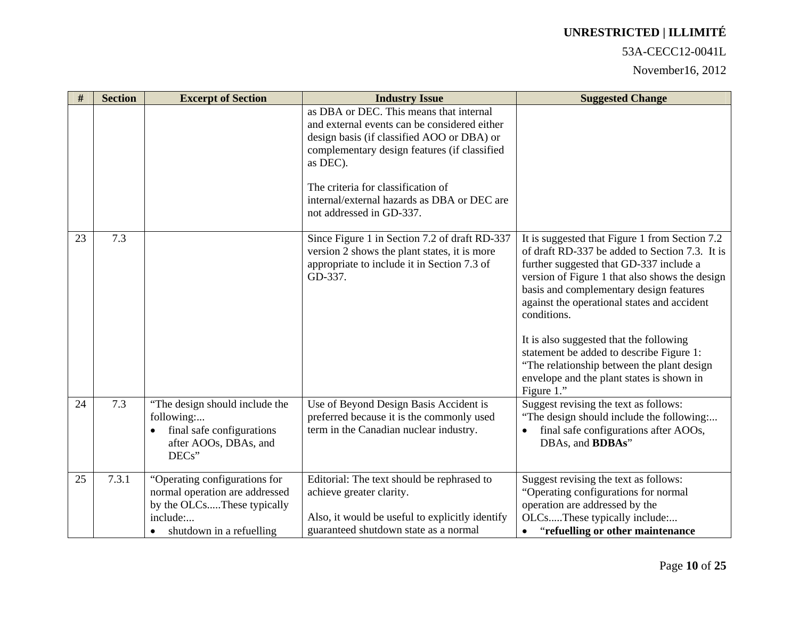### 53A-CECC12-0041L

| #  | <b>Section</b> | <b>Excerpt of Section</b>                                                                                                                          | <b>Industry Issue</b>                                                                                                                                                                                                                                                                                              | <b>Suggested Change</b>                                                                                                                                                                                                                                                                                                                                                                                                                                                                                |
|----|----------------|----------------------------------------------------------------------------------------------------------------------------------------------------|--------------------------------------------------------------------------------------------------------------------------------------------------------------------------------------------------------------------------------------------------------------------------------------------------------------------|--------------------------------------------------------------------------------------------------------------------------------------------------------------------------------------------------------------------------------------------------------------------------------------------------------------------------------------------------------------------------------------------------------------------------------------------------------------------------------------------------------|
|    |                |                                                                                                                                                    | as DBA or DEC. This means that internal<br>and external events can be considered either<br>design basis (if classified AOO or DBA) or<br>complementary design features (if classified<br>as DEC).<br>The criteria for classification of<br>internal/external hazards as DBA or DEC are<br>not addressed in GD-337. |                                                                                                                                                                                                                                                                                                                                                                                                                                                                                                        |
| 23 | 7.3            |                                                                                                                                                    | Since Figure 1 in Section 7.2 of draft RD-337<br>version 2 shows the plant states, it is more<br>appropriate to include it in Section 7.3 of<br>GD-337.                                                                                                                                                            | It is suggested that Figure 1 from Section 7.2<br>of draft RD-337 be added to Section 7.3. It is<br>further suggested that GD-337 include a<br>version of Figure 1 that also shows the design<br>basis and complementary design features<br>against the operational states and accident<br>conditions.<br>It is also suggested that the following<br>statement be added to describe Figure 1:<br>"The relationship between the plant design<br>envelope and the plant states is shown in<br>Figure 1." |
| 24 | 7.3            | "The design should include the<br>following:<br>final safe configurations<br>$\bullet$<br>after AOOs, DBAs, and<br>DECs"                           | Use of Beyond Design Basis Accident is<br>preferred because it is the commonly used<br>term in the Canadian nuclear industry.                                                                                                                                                                                      | Suggest revising the text as follows:<br>"The design should include the following:<br>final safe configurations after AOOs,<br>DBAs, and <b>BDBAs</b> "                                                                                                                                                                                                                                                                                                                                                |
| 25 | 7.3.1          | "Operating configurations for<br>normal operation are addressed<br>by the OLCsThese typically<br>include:<br>shutdown in a refuelling<br>$\bullet$ | Editorial: The text should be rephrased to<br>achieve greater clarity.<br>Also, it would be useful to explicitly identify<br>guaranteed shutdown state as a normal                                                                                                                                                 | Suggest revising the text as follows:<br>"Operating configurations for normal<br>operation are addressed by the<br>OLCsThese typically include:<br>"refuelling or other maintenance<br>$\bullet$                                                                                                                                                                                                                                                                                                       |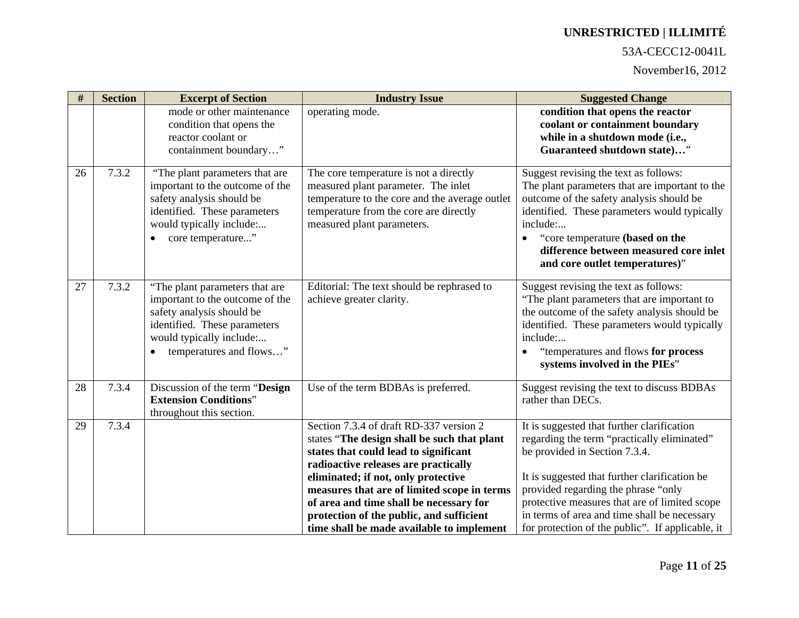### 53A-CECC12-0041L

| $\#$ | <b>Section</b> | <b>Excerpt of Section</b>                                                                                                                                                                          | <b>Industry Issue</b>                                                                                                                                                                                                                                                                                                                                                                             | <b>Suggested Change</b>                                                                                                                                                                                                                                                                                                                                                 |
|------|----------------|----------------------------------------------------------------------------------------------------------------------------------------------------------------------------------------------------|---------------------------------------------------------------------------------------------------------------------------------------------------------------------------------------------------------------------------------------------------------------------------------------------------------------------------------------------------------------------------------------------------|-------------------------------------------------------------------------------------------------------------------------------------------------------------------------------------------------------------------------------------------------------------------------------------------------------------------------------------------------------------------------|
|      |                | mode or other maintenance<br>condition that opens the<br>reactor coolant or<br>containment boundary"                                                                                               | operating mode.                                                                                                                                                                                                                                                                                                                                                                                   | condition that opens the reactor<br>coolant or containment boundary<br>while in a shutdown mode (i.e.,<br>Guaranteed shutdown state)"                                                                                                                                                                                                                                   |
| 26   | 7.3.2          | "The plant parameters that are<br>important to the outcome of the<br>safety analysis should be<br>identified. These parameters<br>would typically include:<br>core temperature"                    | The core temperature is not a directly<br>measured plant parameter. The inlet<br>temperature to the core and the average outlet<br>temperature from the core are directly<br>measured plant parameters.                                                                                                                                                                                           | Suggest revising the text as follows:<br>The plant parameters that are important to the<br>outcome of the safety analysis should be<br>identified. These parameters would typically<br>include:<br>"core temperature (based on the<br>difference between measured core inlet<br>and core outlet temperatures)"                                                          |
| 27   | 7.3.2          | "The plant parameters that are<br>important to the outcome of the<br>safety analysis should be<br>identified. These parameters<br>would typically include:<br>temperatures and flows"<br>$\bullet$ | Editorial: The text should be rephrased to<br>achieve greater clarity.                                                                                                                                                                                                                                                                                                                            | Suggest revising the text as follows:<br>"The plant parameters that are important to<br>the outcome of the safety analysis should be<br>identified. These parameters would typically<br>include:<br>"temperatures and flows for process<br>systems involved in the PIEs"                                                                                                |
| 28   | 7.3.4          | Discussion of the term "Design<br><b>Extension Conditions"</b><br>throughout this section.                                                                                                         | Use of the term BDBAs is preferred.                                                                                                                                                                                                                                                                                                                                                               | Suggest revising the text to discuss BDBAs<br>rather than DECs.                                                                                                                                                                                                                                                                                                         |
| 29   | 7.3.4          |                                                                                                                                                                                                    | Section 7.3.4 of draft RD-337 version 2<br>states "The design shall be such that plant<br>states that could lead to significant<br>radioactive releases are practically<br>eliminated; if not, only protective<br>measures that are of limited scope in terms<br>of area and time shall be necessary for<br>protection of the public, and sufficient<br>time shall be made available to implement | It is suggested that further clarification<br>regarding the term "practically eliminated"<br>be provided in Section 7.3.4.<br>It is suggested that further clarification be<br>provided regarding the phrase "only<br>protective measures that are of limited scope<br>in terms of area and time shall be necessary<br>for protection of the public". If applicable, it |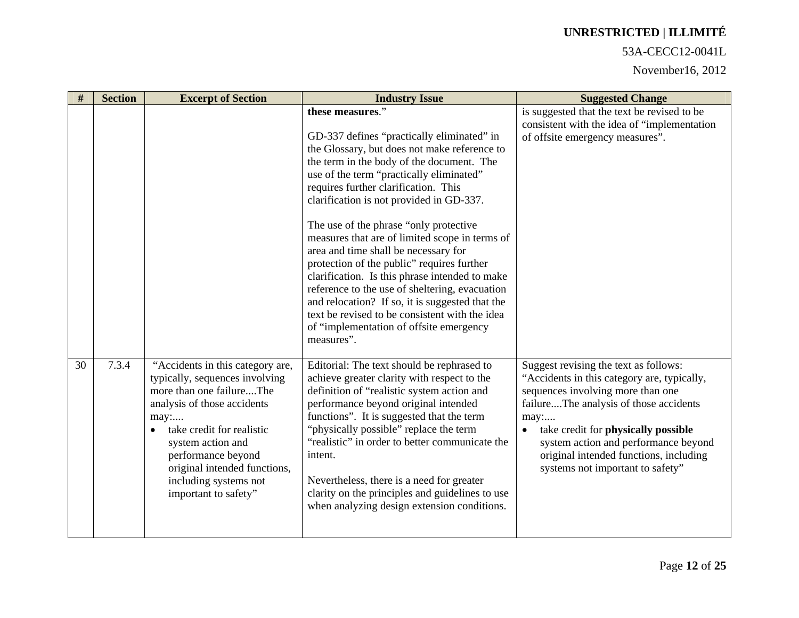#### 53A-CECC12-0041L

| #  | <b>Section</b> | <b>Excerpt of Section</b>                                                                                                                                                                                                                                                                                   | <b>Industry Issue</b>                                                                                                                                                                                                                                                                                                                                                                                                                                                                                                                                                                                                                                                                                                                           | <b>Suggested Change</b>                                                                                                                                                                                                                                                                                                                               |
|----|----------------|-------------------------------------------------------------------------------------------------------------------------------------------------------------------------------------------------------------------------------------------------------------------------------------------------------------|-------------------------------------------------------------------------------------------------------------------------------------------------------------------------------------------------------------------------------------------------------------------------------------------------------------------------------------------------------------------------------------------------------------------------------------------------------------------------------------------------------------------------------------------------------------------------------------------------------------------------------------------------------------------------------------------------------------------------------------------------|-------------------------------------------------------------------------------------------------------------------------------------------------------------------------------------------------------------------------------------------------------------------------------------------------------------------------------------------------------|
|    |                |                                                                                                                                                                                                                                                                                                             | these measures."<br>GD-337 defines "practically eliminated" in<br>the Glossary, but does not make reference to<br>the term in the body of the document. The<br>use of the term "practically eliminated"<br>requires further clarification. This<br>clarification is not provided in GD-337.<br>The use of the phrase "only protective<br>measures that are of limited scope in terms of<br>area and time shall be necessary for<br>protection of the public" requires further<br>clarification. Is this phrase intended to make<br>reference to the use of sheltering, evacuation<br>and relocation? If so, it is suggested that the<br>text be revised to be consistent with the idea<br>of "implementation of offsite emergency<br>measures". | is suggested that the text be revised to be<br>consistent with the idea of "implementation"<br>of offsite emergency measures".                                                                                                                                                                                                                        |
| 30 | 7.3.4          | "Accidents in this category are,<br>typically, sequences involving<br>more than one failureThe<br>analysis of those accidents<br>may:<br>take credit for realistic<br>$\bullet$<br>system action and<br>performance beyond<br>original intended functions,<br>including systems not<br>important to safety" | Editorial: The text should be rephrased to<br>achieve greater clarity with respect to the<br>definition of "realistic system action and<br>performance beyond original intended<br>functions". It is suggested that the term<br>"physically possible" replace the term<br>"realistic" in order to better communicate the<br>intent.<br>Nevertheless, there is a need for greater<br>clarity on the principles and guidelines to use<br>when analyzing design extension conditions.                                                                                                                                                                                                                                                              | Suggest revising the text as follows:<br>"Accidents in this category are, typically,<br>sequences involving more than one<br>failureThe analysis of those accidents<br>may:<br>take credit for physically possible<br>$\bullet$<br>system action and performance beyond<br>original intended functions, including<br>systems not important to safety" |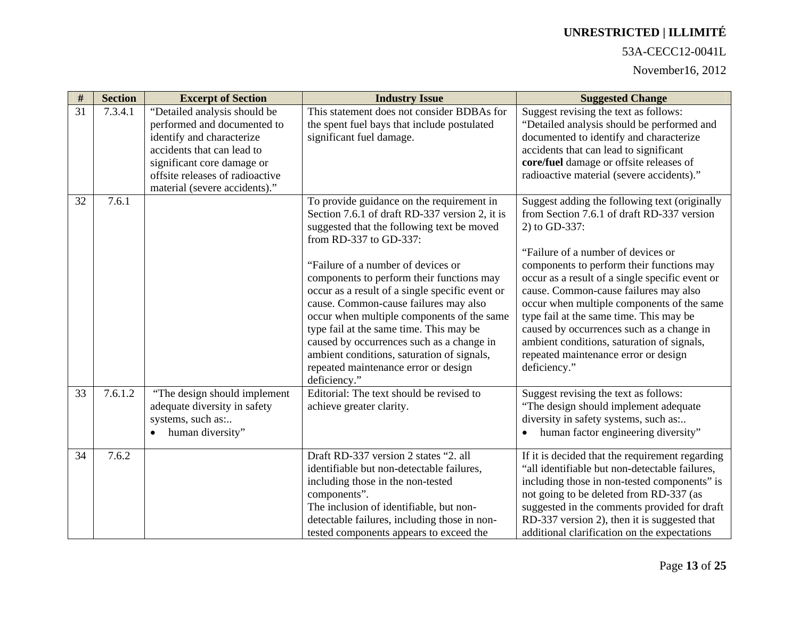### 53A-CECC12-0041L

| $\#$            | <b>Section</b> | <b>Excerpt of Section</b>                                                                                                                                                                                                | <b>Industry Issue</b>                                                                                                                                                                                                                                                                                                                                                                                                                                                                                                                                                                          | <b>Suggested Change</b>                                                                                                                                                                                                                                                                                                                                                                                                                                                                                                                 |
|-----------------|----------------|--------------------------------------------------------------------------------------------------------------------------------------------------------------------------------------------------------------------------|------------------------------------------------------------------------------------------------------------------------------------------------------------------------------------------------------------------------------------------------------------------------------------------------------------------------------------------------------------------------------------------------------------------------------------------------------------------------------------------------------------------------------------------------------------------------------------------------|-----------------------------------------------------------------------------------------------------------------------------------------------------------------------------------------------------------------------------------------------------------------------------------------------------------------------------------------------------------------------------------------------------------------------------------------------------------------------------------------------------------------------------------------|
| $\overline{31}$ | 7.3.4.1        | "Detailed analysis should be<br>performed and documented to<br>identify and characterize<br>accidents that can lead to<br>significant core damage or<br>offsite releases of radioactive<br>material (severe accidents)." | This statement does not consider BDBAs for<br>the spent fuel bays that include postulated<br>significant fuel damage.                                                                                                                                                                                                                                                                                                                                                                                                                                                                          | Suggest revising the text as follows:<br>"Detailed analysis should be performed and<br>documented to identify and characterize<br>accidents that can lead to significant<br>core/fuel damage or offsite releases of<br>radioactive material (severe accidents)."                                                                                                                                                                                                                                                                        |
| 32              | 7.6.1          |                                                                                                                                                                                                                          | To provide guidance on the requirement in<br>Section 7.6.1 of draft RD-337 version 2, it is<br>suggested that the following text be moved<br>from RD-337 to GD-337:<br>"Failure of a number of devices or<br>components to perform their functions may<br>occur as a result of a single specific event or<br>cause. Common-cause failures may also<br>occur when multiple components of the same<br>type fail at the same time. This may be<br>caused by occurrences such as a change in<br>ambient conditions, saturation of signals,<br>repeated maintenance error or design<br>deficiency." | Suggest adding the following text (originally<br>from Section 7.6.1 of draft RD-337 version<br>2) to GD-337:<br>"Failure of a number of devices or<br>components to perform their functions may<br>occur as a result of a single specific event or<br>cause. Common-cause failures may also<br>occur when multiple components of the same<br>type fail at the same time. This may be<br>caused by occurrences such as a change in<br>ambient conditions, saturation of signals,<br>repeated maintenance error or design<br>deficiency." |
| 33              | 7.6.1.2        | "The design should implement<br>adequate diversity in safety<br>systems, such as:<br>human diversity"                                                                                                                    | Editorial: The text should be revised to<br>achieve greater clarity.                                                                                                                                                                                                                                                                                                                                                                                                                                                                                                                           | Suggest revising the text as follows:<br>"The design should implement adequate<br>diversity in safety systems, such as:<br>human factor engineering diversity"                                                                                                                                                                                                                                                                                                                                                                          |
| 34              | 7.6.2          |                                                                                                                                                                                                                          | Draft RD-337 version 2 states "2. all<br>identifiable but non-detectable failures,<br>including those in the non-tested<br>components".<br>The inclusion of identifiable, but non-<br>detectable failures, including those in non-<br>tested components appears to exceed the                                                                                                                                                                                                                                                                                                                  | If it is decided that the requirement regarding<br>"all identifiable but non-detectable failures,<br>including those in non-tested components" is<br>not going to be deleted from RD-337 (as<br>suggested in the comments provided for draft<br>RD-337 version 2), then it is suggested that<br>additional clarification on the expectations                                                                                                                                                                                            |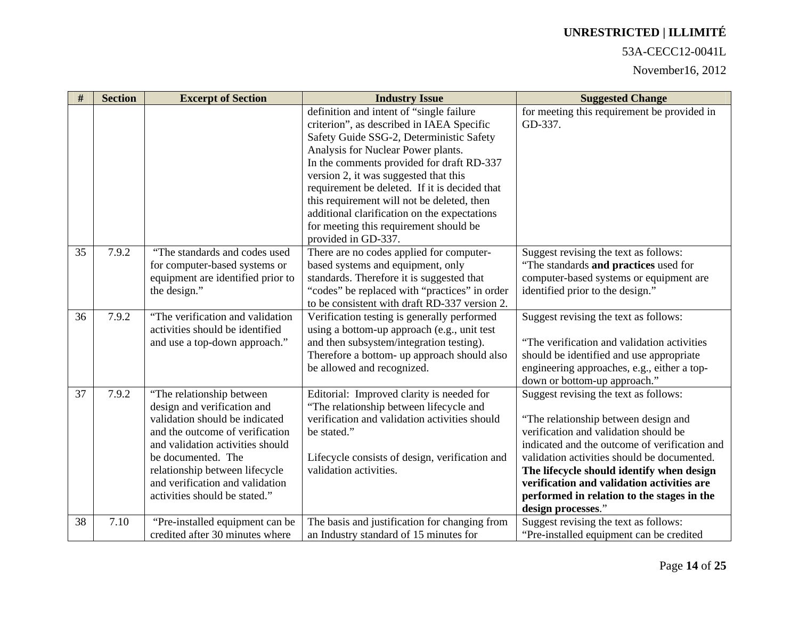### 53A-CECC12-0041L

| $\#$ | <b>Section</b> | <b>Excerpt of Section</b>                                                                                                                                                                                                                                                                      | <b>Industry Issue</b>                                                                                                                                                                                                                                                                                                                                                                                                                                                         | <b>Suggested Change</b>                                                                                                                                                                                                                                                                                                                                                               |
|------|----------------|------------------------------------------------------------------------------------------------------------------------------------------------------------------------------------------------------------------------------------------------------------------------------------------------|-------------------------------------------------------------------------------------------------------------------------------------------------------------------------------------------------------------------------------------------------------------------------------------------------------------------------------------------------------------------------------------------------------------------------------------------------------------------------------|---------------------------------------------------------------------------------------------------------------------------------------------------------------------------------------------------------------------------------------------------------------------------------------------------------------------------------------------------------------------------------------|
|      |                |                                                                                                                                                                                                                                                                                                | definition and intent of "single failure<br>criterion", as described in IAEA Specific<br>Safety Guide SSG-2, Deterministic Safety<br>Analysis for Nuclear Power plants.<br>In the comments provided for draft RD-337<br>version 2, it was suggested that this<br>requirement be deleted. If it is decided that<br>this requirement will not be deleted, then<br>additional clarification on the expectations<br>for meeting this requirement should be<br>provided in GD-337. | for meeting this requirement be provided in<br>GD-337.                                                                                                                                                                                                                                                                                                                                |
| 35   | 7.9.2          | "The standards and codes used<br>for computer-based systems or<br>equipment are identified prior to<br>the design."                                                                                                                                                                            | There are no codes applied for computer-<br>based systems and equipment, only<br>standards. Therefore it is suggested that<br>"codes" be replaced with "practices" in order<br>to be consistent with draft RD-337 version 2.                                                                                                                                                                                                                                                  | Suggest revising the text as follows:<br>"The standards and practices used for<br>computer-based systems or equipment are<br>identified prior to the design."                                                                                                                                                                                                                         |
| 36   | 7.9.2          | "The verification and validation<br>activities should be identified<br>and use a top-down approach."                                                                                                                                                                                           | Verification testing is generally performed<br>using a bottom-up approach (e.g., unit test<br>and then subsystem/integration testing).<br>Therefore a bottom- up approach should also<br>be allowed and recognized.                                                                                                                                                                                                                                                           | Suggest revising the text as follows:<br>"The verification and validation activities<br>should be identified and use appropriate<br>engineering approaches, e.g., either a top-<br>down or bottom-up approach."                                                                                                                                                                       |
| 37   | 7.9.2          | "The relationship between"<br>design and verification and<br>validation should be indicated<br>and the outcome of verification<br>and validation activities should<br>be documented. The<br>relationship between lifecycle<br>and verification and validation<br>activities should be stated." | Editorial: Improved clarity is needed for<br>"The relationship between lifecycle and<br>verification and validation activities should<br>be stated."<br>Lifecycle consists of design, verification and<br>validation activities.                                                                                                                                                                                                                                              | Suggest revising the text as follows:<br>"The relationship between design and<br>verification and validation should be<br>indicated and the outcome of verification and<br>validation activities should be documented.<br>The lifecycle should identify when design<br>verification and validation activities are<br>performed in relation to the stages in the<br>design processes." |
| 38   | 7.10           | "Pre-installed equipment can be<br>credited after 30 minutes where                                                                                                                                                                                                                             | The basis and justification for changing from<br>an Industry standard of 15 minutes for                                                                                                                                                                                                                                                                                                                                                                                       | Suggest revising the text as follows:<br>"Pre-installed equipment can be credited                                                                                                                                                                                                                                                                                                     |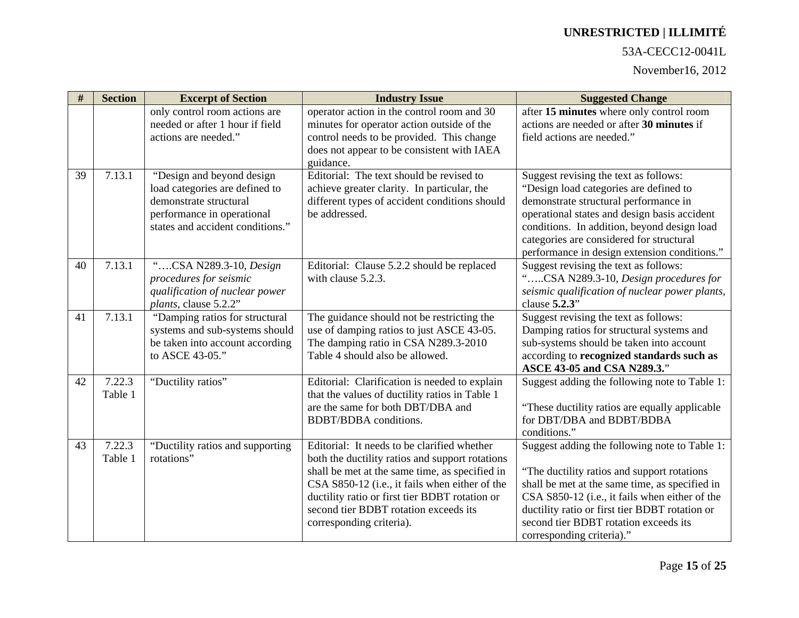### 53A-CECC12-0041L

| #  | <b>Section</b>    | <b>Excerpt of Section</b>                                                                                              | <b>Industry Issue</b>                                                                                                                                                                                                                                                                                                     | <b>Suggested Change</b>                                                                                                                                                                                                                                                                                                   |
|----|-------------------|------------------------------------------------------------------------------------------------------------------------|---------------------------------------------------------------------------------------------------------------------------------------------------------------------------------------------------------------------------------------------------------------------------------------------------------------------------|---------------------------------------------------------------------------------------------------------------------------------------------------------------------------------------------------------------------------------------------------------------------------------------------------------------------------|
|    |                   | only control room actions are<br>needed or after 1 hour if field<br>actions are needed."                               | operator action in the control room and 30<br>minutes for operator action outside of the<br>control needs to be provided. This change<br>does not appear to be consistent with IAEA                                                                                                                                       | after 15 minutes where only control room<br>actions are needed or after 30 minutes if<br>field actions are needed."                                                                                                                                                                                                       |
| 39 | 7.13.1            | "Design and beyond design<br>load categories are defined to<br>demonstrate structural                                  | guidance.<br>Editorial: The text should be revised to<br>achieve greater clarity. In particular, the                                                                                                                                                                                                                      | Suggest revising the text as follows:<br>"Design load categories are defined to                                                                                                                                                                                                                                           |
|    |                   | performance in operational<br>states and accident conditions."                                                         | different types of accident conditions should<br>be addressed.                                                                                                                                                                                                                                                            | demonstrate structural performance in<br>operational states and design basis accident<br>conditions. In addition, beyond design load<br>categories are considered for structural<br>performance in design extension conditions."                                                                                          |
| 40 | 7.13.1            | "CSA N289.3-10, Design<br>procedures for seismic<br>qualification of nuclear power<br>plants, clause 5.2.2"            | Editorial: Clause 5.2.2 should be replaced<br>with clause 5.2.3.                                                                                                                                                                                                                                                          | Suggest revising the text as follows:<br>"CSA N289.3-10, Design procedures for<br>seismic qualification of nuclear power plants,<br>clause 5.2.3"                                                                                                                                                                         |
| 41 | 7.13.1            | "Damping ratios for structural<br>systems and sub-systems should<br>be taken into account according<br>to ASCE 43-05." | The guidance should not be restricting the<br>use of damping ratios to just ASCE 43-05.<br>The damping ratio in CSA N289.3-2010<br>Table 4 should also be allowed.                                                                                                                                                        | Suggest revising the text as follows:<br>Damping ratios for structural systems and<br>sub-systems should be taken into account<br>according to recognized standards such as<br>ASCE 43-05 and CSA N289.3."                                                                                                                |
| 42 | 7.22.3<br>Table 1 | "Ductility ratios"                                                                                                     | Editorial: Clarification is needed to explain<br>that the values of ductility ratios in Table 1<br>are the same for both DBT/DBA and<br><b>BDBT/BDBA</b> conditions.                                                                                                                                                      | Suggest adding the following note to Table 1:<br>"These ductility ratios are equally applicable"<br>for DBT/DBA and BDBT/BDBA<br>conditions."                                                                                                                                                                             |
| 43 | 7.22.3<br>Table 1 | "Ductility ratios and supporting<br>rotations"                                                                         | Editorial: It needs to be clarified whether<br>both the ductility ratios and support rotations<br>shall be met at the same time, as specified in<br>CSA S850-12 (i.e., it fails when either of the<br>ductility ratio or first tier BDBT rotation or<br>second tier BDBT rotation exceeds its<br>corresponding criteria). | Suggest adding the following note to Table 1:<br>"The ductility ratios and support rotations"<br>shall be met at the same time, as specified in<br>CSA S850-12 (i.e., it fails when either of the<br>ductility ratio or first tier BDBT rotation or<br>second tier BDBT rotation exceeds its<br>corresponding criteria)." |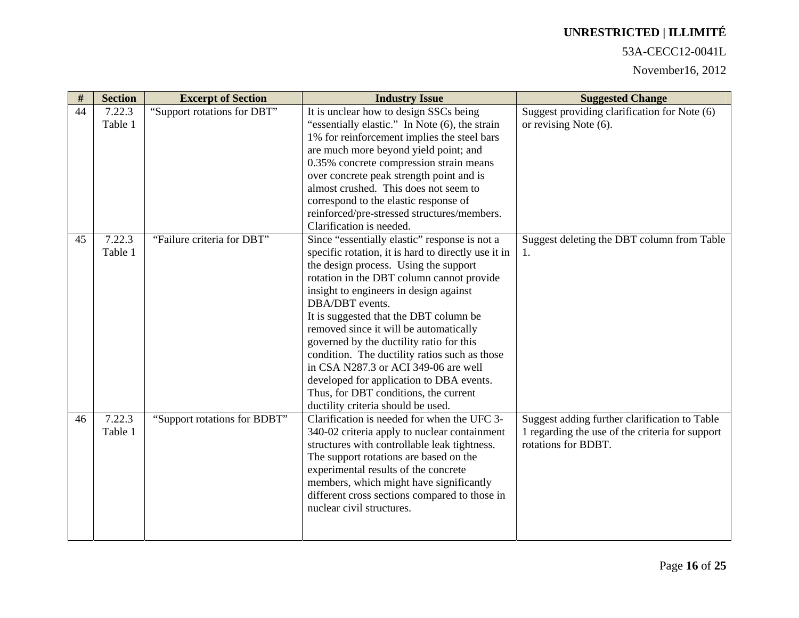### 53A-CECC12-0041L

| $\#$ | <b>Section</b>    | <b>Excerpt of Section</b>    | <b>Industry Issue</b>                                                                                                                                                                                                                                                                                                                                                                                                                                                                                                                                                                                       | <b>Suggested Change</b>                                                                                                 |
|------|-------------------|------------------------------|-------------------------------------------------------------------------------------------------------------------------------------------------------------------------------------------------------------------------------------------------------------------------------------------------------------------------------------------------------------------------------------------------------------------------------------------------------------------------------------------------------------------------------------------------------------------------------------------------------------|-------------------------------------------------------------------------------------------------------------------------|
| 44   | 7.22.3<br>Table 1 | "Support rotations for DBT"  | It is unclear how to design SSCs being<br>"essentially elastic." In Note (6), the strain<br>1% for reinforcement implies the steel bars<br>are much more beyond yield point; and<br>0.35% concrete compression strain means<br>over concrete peak strength point and is<br>almost crushed. This does not seem to<br>correspond to the elastic response of<br>reinforced/pre-stressed structures/members.<br>Clarification is needed.                                                                                                                                                                        | Suggest providing clarification for Note (6)<br>or revising Note (6).                                                   |
| 45   | 7.22.3<br>Table 1 | "Failure criteria for DBT"   | Since "essentially elastic" response is not a<br>specific rotation, it is hard to directly use it in<br>the design process. Using the support<br>rotation in the DBT column cannot provide<br>insight to engineers in design against<br>DBA/DBT events.<br>It is suggested that the DBT column be<br>removed since it will be automatically<br>governed by the ductility ratio for this<br>condition. The ductility ratios such as those<br>in CSA N287.3 or ACI 349-06 are well<br>developed for application to DBA events.<br>Thus, for DBT conditions, the current<br>ductility criteria should be used. | Suggest deleting the DBT column from Table<br>-1.                                                                       |
| 46   | 7.22.3<br>Table 1 | "Support rotations for BDBT" | Clarification is needed for when the UFC 3-<br>340-02 criteria apply to nuclear containment<br>structures with controllable leak tightness.<br>The support rotations are based on the<br>experimental results of the concrete<br>members, which might have significantly<br>different cross sections compared to those in<br>nuclear civil structures.                                                                                                                                                                                                                                                      | Suggest adding further clarification to Table<br>1 regarding the use of the criteria for support<br>rotations for BDBT. |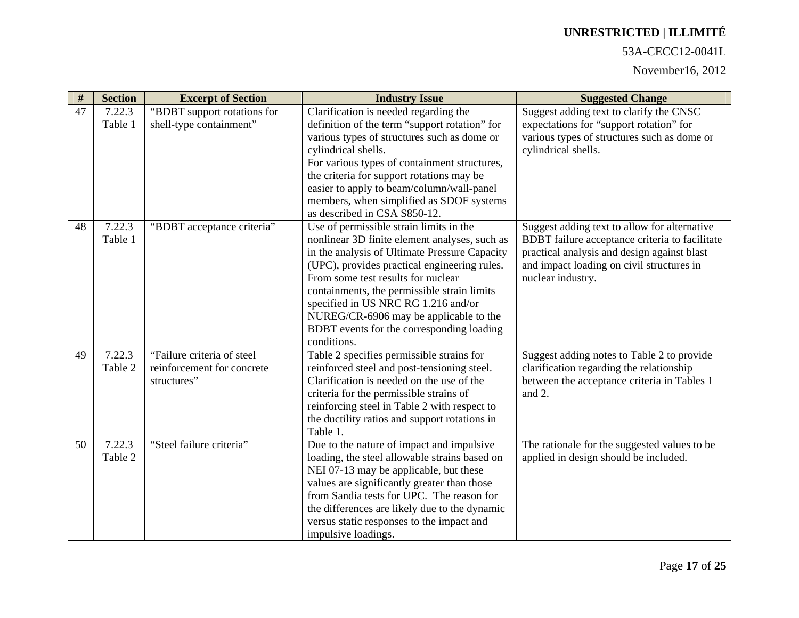### 53A-CECC12-0041L

| $\#$ | <b>Section</b>    | <b>Excerpt of Section</b>                                               | <b>Industry Issue</b>                                                                                                                                                                                                                                                                                                                                                                                                       | <b>Suggested Change</b>                                                                                                                                                                                         |
|------|-------------------|-------------------------------------------------------------------------|-----------------------------------------------------------------------------------------------------------------------------------------------------------------------------------------------------------------------------------------------------------------------------------------------------------------------------------------------------------------------------------------------------------------------------|-----------------------------------------------------------------------------------------------------------------------------------------------------------------------------------------------------------------|
| 47   | 7.22.3<br>Table 1 | "BDBT support rotations for<br>shell-type containment"                  | Clarification is needed regarding the<br>definition of the term "support rotation" for<br>various types of structures such as dome or<br>cylindrical shells.<br>For various types of containment structures,<br>the criteria for support rotations may be<br>easier to apply to beam/column/wall-panel<br>members, when simplified as SDOF systems<br>as described in CSA S850-12.                                          | Suggest adding text to clarify the CNSC<br>expectations for "support rotation" for<br>various types of structures such as dome or<br>cylindrical shells.                                                        |
| 48   | 7.22.3<br>Table 1 | "BDBT acceptance criteria"                                              | Use of permissible strain limits in the<br>nonlinear 3D finite element analyses, such as<br>in the analysis of Ultimate Pressure Capacity<br>(UPC), provides practical engineering rules.<br>From some test results for nuclear<br>containments, the permissible strain limits<br>specified in US NRC RG 1.216 and/or<br>NUREG/CR-6906 may be applicable to the<br>BDBT events for the corresponding loading<br>conditions. | Suggest adding text to allow for alternative<br>BDBT failure acceptance criteria to facilitate<br>practical analysis and design against blast<br>and impact loading on civil structures in<br>nuclear industry. |
| 49   | 7.22.3<br>Table 2 | "Failure criteria of steel<br>reinforcement for concrete<br>structures" | Table 2 specifies permissible strains for<br>reinforced steel and post-tensioning steel.<br>Clarification is needed on the use of the<br>criteria for the permissible strains of<br>reinforcing steel in Table 2 with respect to<br>the ductility ratios and support rotations in<br>Table 1.                                                                                                                               | Suggest adding notes to Table 2 to provide<br>clarification regarding the relationship<br>between the acceptance criteria in Tables 1<br>and 2.                                                                 |
| 50   | 7.22.3<br>Table 2 | "Steel failure criteria"                                                | Due to the nature of impact and impulsive<br>loading, the steel allowable strains based on<br>NEI 07-13 may be applicable, but these<br>values are significantly greater than those<br>from Sandia tests for UPC. The reason for<br>the differences are likely due to the dynamic<br>versus static responses to the impact and<br>impulsive loadings.                                                                       | The rationale for the suggested values to be<br>applied in design should be included.                                                                                                                           |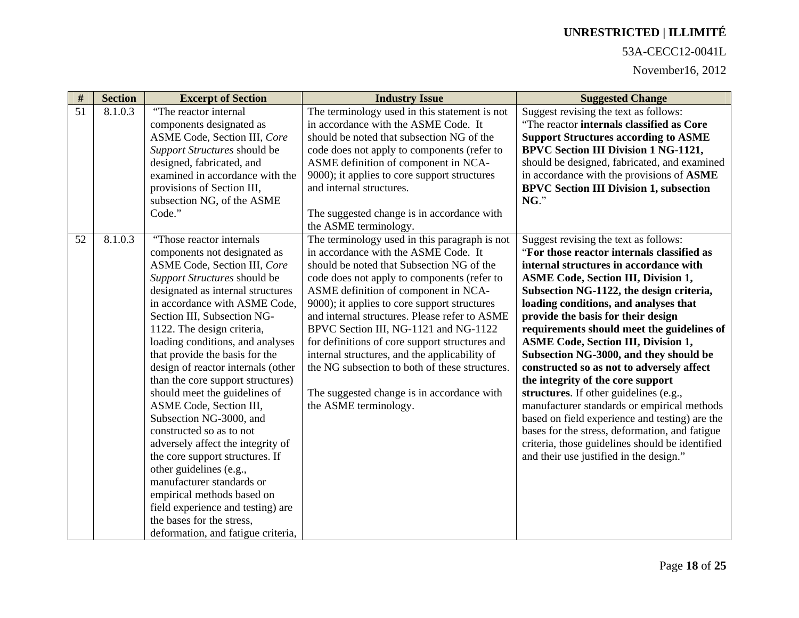### 53A-CECC12-0041L

| #               | <b>Section</b> | <b>Excerpt of Section</b>          | <b>Industry Issue</b>                          | <b>Suggested Change</b>                         |
|-----------------|----------------|------------------------------------|------------------------------------------------|-------------------------------------------------|
| $\overline{51}$ | 8.1.0.3        | "The reactor internal              | The terminology used in this statement is not  | Suggest revising the text as follows:           |
|                 |                | components designated as           | in accordance with the ASME Code. It           | "The reactor internals classified as Core       |
|                 |                | ASME Code, Section III, Core       | should be noted that subsection NG of the      | <b>Support Structures according to ASME</b>     |
|                 |                | Support Structures should be       | code does not apply to components (refer to    | <b>BPVC Section III Division 1 NG-1121,</b>     |
|                 |                | designed, fabricated, and          | ASME definition of component in NCA-           | should be designed, fabricated, and examined    |
|                 |                | examined in accordance with the    | 9000); it applies to core support structures   | in accordance with the provisions of ASME       |
|                 |                | provisions of Section III,         | and internal structures.                       | <b>BPVC Section III Division 1, subsection</b>  |
|                 |                | subsection NG, of the ASME         |                                                | $NG.$ "                                         |
|                 |                | Code."                             | The suggested change is in accordance with     |                                                 |
|                 |                |                                    | the ASME terminology.                          |                                                 |
| 52              | 8.1.0.3        | "Those reactor internals           | The terminology used in this paragraph is not  | Suggest revising the text as follows:           |
|                 |                | components not designated as       | in accordance with the ASME Code. It           | "For those reactor internals classified as      |
|                 |                | ASME Code, Section III, Core       | should be noted that Subsection NG of the      | internal structures in accordance with          |
|                 |                | Support Structures should be       | code does not apply to components (refer to    | <b>ASME Code, Section III, Division 1,</b>      |
|                 |                | designated as internal structures  | ASME definition of component in NCA-           | Subsection NG-1122, the design criteria,        |
|                 |                | in accordance with ASME Code,      | 9000); it applies to core support structures   | loading conditions, and analyses that           |
|                 |                | Section III, Subsection NG-        | and internal structures. Please refer to ASME  | provide the basis for their design              |
|                 |                | 1122. The design criteria,         | BPVC Section III, NG-1121 and NG-1122          | requirements should meet the guidelines of      |
|                 |                | loading conditions, and analyses   | for definitions of core support structures and | <b>ASME Code, Section III, Division 1,</b>      |
|                 |                | that provide the basis for the     | internal structures, and the applicability of  | Subsection NG-3000, and they should be          |
|                 |                | design of reactor internals (other | the NG subsection to both of these structures. | constructed so as not to adversely affect       |
|                 |                | than the core support structures)  |                                                | the integrity of the core support               |
|                 |                | should meet the guidelines of      | The suggested change is in accordance with     | structures. If other guidelines (e.g.,          |
|                 |                | ASME Code, Section III,            | the ASME terminology.                          | manufacturer standards or empirical methods     |
|                 |                | Subsection NG-3000, and            |                                                | based on field experience and testing) are the  |
|                 |                | constructed so as to not           |                                                | bases for the stress, deformation, and fatigue  |
|                 |                | adversely affect the integrity of  |                                                | criteria, those guidelines should be identified |
|                 |                | the core support structures. If    |                                                | and their use justified in the design."         |
|                 |                | other guidelines (e.g.,            |                                                |                                                 |
|                 |                | manufacturer standards or          |                                                |                                                 |
|                 |                | empirical methods based on         |                                                |                                                 |
|                 |                | field experience and testing) are  |                                                |                                                 |
|                 |                | the bases for the stress,          |                                                |                                                 |
|                 |                | deformation, and fatigue criteria, |                                                |                                                 |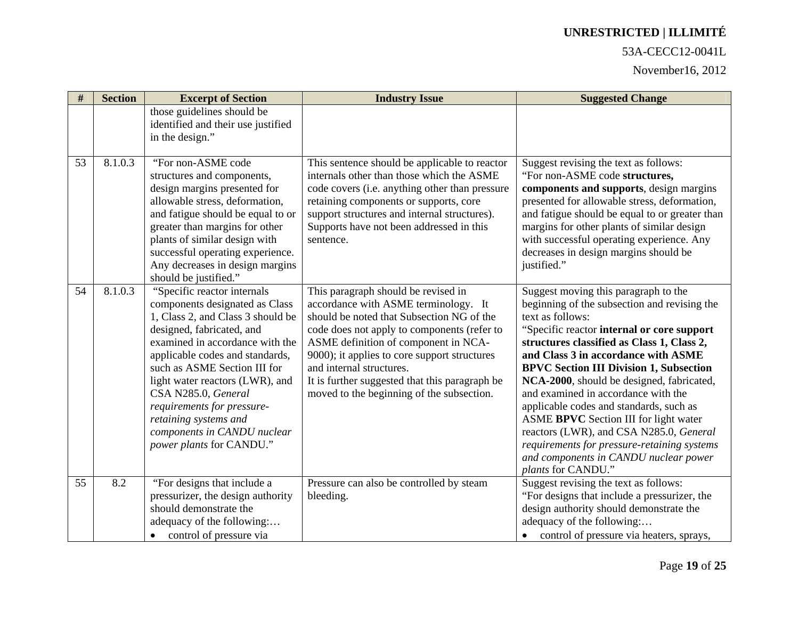### 53A-CECC12-0041L

| $\#$ | <b>Section</b> | <b>Excerpt of Section</b>                                                                                                                                                                                                                                                                                                                                                                                         | <b>Industry Issue</b>                                                                                                                                                                                                                                                                                                                                                                      | <b>Suggested Change</b>                                                                                                                                                                                                                                                                                                                                                                                                                                                                                                                                                                                                        |
|------|----------------|-------------------------------------------------------------------------------------------------------------------------------------------------------------------------------------------------------------------------------------------------------------------------------------------------------------------------------------------------------------------------------------------------------------------|--------------------------------------------------------------------------------------------------------------------------------------------------------------------------------------------------------------------------------------------------------------------------------------------------------------------------------------------------------------------------------------------|--------------------------------------------------------------------------------------------------------------------------------------------------------------------------------------------------------------------------------------------------------------------------------------------------------------------------------------------------------------------------------------------------------------------------------------------------------------------------------------------------------------------------------------------------------------------------------------------------------------------------------|
|      |                | those guidelines should be<br>identified and their use justified<br>in the design."                                                                                                                                                                                                                                                                                                                               |                                                                                                                                                                                                                                                                                                                                                                                            |                                                                                                                                                                                                                                                                                                                                                                                                                                                                                                                                                                                                                                |
| 53   | 8.1.0.3        | "For non-ASME code<br>structures and components,<br>design margins presented for<br>allowable stress, deformation,<br>and fatigue should be equal to or<br>greater than margins for other<br>plants of similar design with<br>successful operating experience.<br>Any decreases in design margins<br>should be justified."                                                                                        | This sentence should be applicable to reactor<br>internals other than those which the ASME<br>code covers (i.e. anything other than pressure<br>retaining components or supports, core<br>support structures and internal structures).<br>Supports have not been addressed in this<br>sentence.                                                                                            | Suggest revising the text as follows:<br>"For non-ASME code structures,<br>components and supports, design margins<br>presented for allowable stress, deformation,<br>and fatigue should be equal to or greater than<br>margins for other plants of similar design<br>with successful operating experience. Any<br>decreases in design margins should be<br>justified."                                                                                                                                                                                                                                                        |
| 54   | 8.1.0.3        | "Specific reactor internals<br>components designated as Class<br>1, Class 2, and Class 3 should be<br>designed, fabricated, and<br>examined in accordance with the<br>applicable codes and standards,<br>such as ASME Section III for<br>light water reactors (LWR), and<br>CSA N285.0, General<br>requirements for pressure-<br>retaining systems and<br>components in CANDU nuclear<br>power plants for CANDU." | This paragraph should be revised in<br>accordance with ASME terminology. It<br>should be noted that Subsection NG of the<br>code does not apply to components (refer to<br>ASME definition of component in NCA-<br>9000); it applies to core support structures<br>and internal structures.<br>It is further suggested that this paragraph be<br>moved to the beginning of the subsection. | Suggest moving this paragraph to the<br>beginning of the subsection and revising the<br>text as follows:<br>"Specific reactor internal or core support<br>structures classified as Class 1, Class 2,<br>and Class 3 in accordance with ASME<br><b>BPVC Section III Division 1, Subsection</b><br>NCA-2000, should be designed, fabricated,<br>and examined in accordance with the<br>applicable codes and standards, such as<br>ASME BPVC Section III for light water<br>reactors (LWR), and CSA N285.0, General<br>requirements for pressure-retaining systems<br>and components in CANDU nuclear power<br>plants for CANDU." |
| 55   | 8.2            | "For designs that include a<br>pressurizer, the design authority<br>should demonstrate the<br>adequacy of the following:<br>control of pressure via<br>$\bullet$                                                                                                                                                                                                                                                  | Pressure can also be controlled by steam<br>bleeding.                                                                                                                                                                                                                                                                                                                                      | Suggest revising the text as follows:<br>"For designs that include a pressurizer, the<br>design authority should demonstrate the<br>adequacy of the following:<br>• control of pressure via heaters, sprays,                                                                                                                                                                                                                                                                                                                                                                                                                   |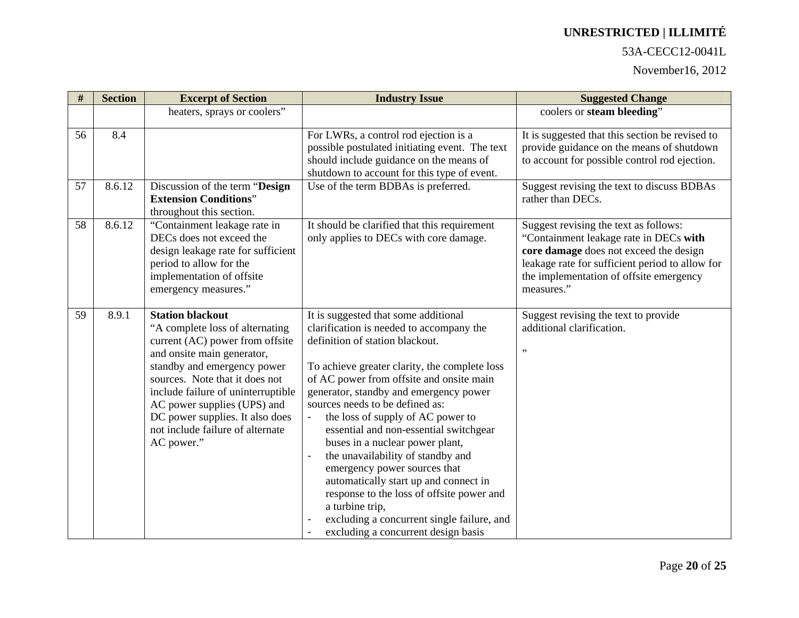#### 53A-CECC12-0041L

| $\#$ | <b>Section</b> | <b>Excerpt of Section</b>                                                                                                                                                                                                                                                                                                                              | <b>Industry Issue</b>                                                                                                                                                                                                                                                                                                                                                                                                                                                                                                                                                                                                                                                              | <b>Suggested Change</b>                                                                                                                                                                                                               |
|------|----------------|--------------------------------------------------------------------------------------------------------------------------------------------------------------------------------------------------------------------------------------------------------------------------------------------------------------------------------------------------------|------------------------------------------------------------------------------------------------------------------------------------------------------------------------------------------------------------------------------------------------------------------------------------------------------------------------------------------------------------------------------------------------------------------------------------------------------------------------------------------------------------------------------------------------------------------------------------------------------------------------------------------------------------------------------------|---------------------------------------------------------------------------------------------------------------------------------------------------------------------------------------------------------------------------------------|
|      |                | heaters, sprays or coolers"                                                                                                                                                                                                                                                                                                                            |                                                                                                                                                                                                                                                                                                                                                                                                                                                                                                                                                                                                                                                                                    | coolers or steam bleeding"                                                                                                                                                                                                            |
| 56   | 8.4            |                                                                                                                                                                                                                                                                                                                                                        | For LWRs, a control rod ejection is a<br>possible postulated initiating event. The text<br>should include guidance on the means of<br>shutdown to account for this type of event.                                                                                                                                                                                                                                                                                                                                                                                                                                                                                                  | It is suggested that this section be revised to<br>provide guidance on the means of shutdown<br>to account for possible control rod ejection.                                                                                         |
| 57   | 8.6.12         | Discussion of the term "Design<br><b>Extension Conditions"</b><br>throughout this section.                                                                                                                                                                                                                                                             | Use of the term BDBAs is preferred.                                                                                                                                                                                                                                                                                                                                                                                                                                                                                                                                                                                                                                                | Suggest revising the text to discuss BDBAs<br>rather than DECs.                                                                                                                                                                       |
| 58   | 8.6.12         | "Containment leakage rate in<br>DECs does not exceed the<br>design leakage rate for sufficient<br>period to allow for the<br>implementation of offsite<br>emergency measures."                                                                                                                                                                         | It should be clarified that this requirement<br>only applies to DECs with core damage.                                                                                                                                                                                                                                                                                                                                                                                                                                                                                                                                                                                             | Suggest revising the text as follows:<br>"Containment leakage rate in DECs with<br>core damage does not exceed the design<br>leakage rate for sufficient period to allow for<br>the implementation of offsite emergency<br>measures." |
| 59   | 8.9.1          | <b>Station blackout</b><br>"A complete loss of alternating<br>current (AC) power from offsite<br>and onsite main generator,<br>standby and emergency power<br>sources. Note that it does not<br>include failure of uninterruptible<br>AC power supplies (UPS) and<br>DC power supplies. It also does<br>not include failure of alternate<br>AC power." | It is suggested that some additional<br>clarification is needed to accompany the<br>definition of station blackout.<br>To achieve greater clarity, the complete loss<br>of AC power from offsite and onsite main<br>generator, standby and emergency power<br>sources needs to be defined as:<br>the loss of supply of AC power to<br>essential and non-essential switchgear<br>buses in a nuclear power plant,<br>the unavailability of standby and<br>emergency power sources that<br>automatically start up and connect in<br>response to the loss of offsite power and<br>a turbine trip,<br>excluding a concurrent single failure, and<br>excluding a concurrent design basis | Suggest revising the text to provide<br>additional clarification.<br>,,                                                                                                                                                               |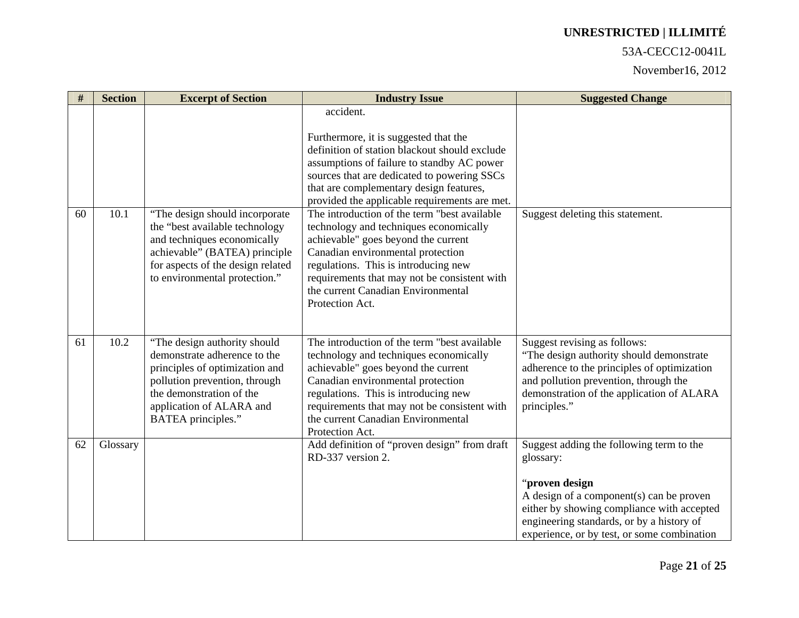### 53A-CECC12-0041L

| #  | <b>Section</b> | <b>Excerpt of Section</b>                                                                                                                                                                                            | <b>Industry Issue</b>                                                                                                                                                                                                                                                                                                                         | <b>Suggested Change</b>                                                                                                                                                                                                                                       |
|----|----------------|----------------------------------------------------------------------------------------------------------------------------------------------------------------------------------------------------------------------|-----------------------------------------------------------------------------------------------------------------------------------------------------------------------------------------------------------------------------------------------------------------------------------------------------------------------------------------------|---------------------------------------------------------------------------------------------------------------------------------------------------------------------------------------------------------------------------------------------------------------|
| 60 | 10.1           | "The design should incorporate                                                                                                                                                                                       | accident.<br>Furthermore, it is suggested that the<br>definition of station blackout should exclude<br>assumptions of failure to standby AC power<br>sources that are dedicated to powering SSCs<br>that are complementary design features,<br>provided the applicable requirements are met.<br>The introduction of the term "best available" | Suggest deleting this statement.                                                                                                                                                                                                                              |
|    |                | the "best available technology<br>and techniques economically<br>achievable" (BATEA) principle<br>for aspects of the design related<br>to environmental protection."                                                 | technology and techniques economically<br>achievable" goes beyond the current<br>Canadian environmental protection<br>regulations. This is introducing new<br>requirements that may not be consistent with<br>the current Canadian Environmental<br>Protection Act.                                                                           |                                                                                                                                                                                                                                                               |
| 61 | 10.2           | "The design authority should<br>demonstrate adherence to the<br>principles of optimization and<br>pollution prevention, through<br>the demonstration of the<br>application of ALARA and<br><b>BATEA</b> principles." | The introduction of the term "best available"<br>technology and techniques economically<br>achievable" goes beyond the current<br>Canadian environmental protection<br>regulations. This is introducing new<br>requirements that may not be consistent with<br>the current Canadian Environmental<br>Protection Act.                          | Suggest revising as follows:<br>"The design authority should demonstrate<br>adherence to the principles of optimization<br>and pollution prevention, through the<br>demonstration of the application of ALARA<br>principles."                                 |
| 62 | Glossary       |                                                                                                                                                                                                                      | Add definition of "proven design" from draft<br>RD-337 version 2.                                                                                                                                                                                                                                                                             | Suggest adding the following term to the<br>glossary:<br>"proven design<br>A design of a component(s) can be proven<br>either by showing compliance with accepted<br>engineering standards, or by a history of<br>experience, or by test, or some combination |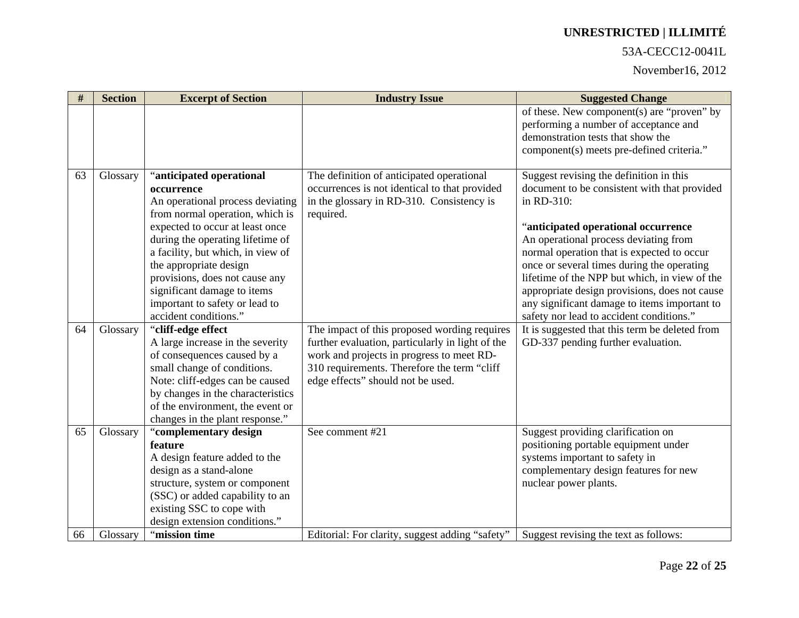#### 53A-CECC12-0041L

| $\#$ | <b>Section</b> | <b>Excerpt of Section</b>                                       | <b>Industry Issue</b>                                                                         | <b>Suggested Change</b>                                                    |
|------|----------------|-----------------------------------------------------------------|-----------------------------------------------------------------------------------------------|----------------------------------------------------------------------------|
|      |                |                                                                 |                                                                                               | of these. New component(s) are "proven" by                                 |
|      |                |                                                                 |                                                                                               | performing a number of acceptance and<br>demonstration tests that show the |
|      |                |                                                                 |                                                                                               |                                                                            |
|      |                |                                                                 |                                                                                               | component(s) meets pre-defined criteria."                                  |
| 63   | Glossary       | "anticipated operational                                        | The definition of anticipated operational                                                     | Suggest revising the definition in this                                    |
|      |                | occurrence                                                      | occurrences is not identical to that provided                                                 | document to be consistent with that provided                               |
|      |                | An operational process deviating                                | in the glossary in RD-310. Consistency is                                                     | in RD-310:                                                                 |
|      |                | from normal operation, which is                                 | required.                                                                                     |                                                                            |
|      |                | expected to occur at least once                                 |                                                                                               | "anticipated operational occurrence                                        |
|      |                | during the operating lifetime of                                |                                                                                               | An operational process deviating from                                      |
|      |                | a facility, but which, in view of                               |                                                                                               | normal operation that is expected to occur                                 |
|      |                | the appropriate design                                          |                                                                                               | once or several times during the operating                                 |
|      |                | provisions, does not cause any                                  |                                                                                               | lifetime of the NPP but which, in view of the                              |
|      |                | significant damage to items                                     |                                                                                               | appropriate design provisions, does not cause                              |
|      |                | important to safety or lead to                                  |                                                                                               | any significant damage to items important to                               |
|      |                | accident conditions."                                           |                                                                                               | safety nor lead to accident conditions."                                   |
| 64   | Glossary       | "cliff-edge effect                                              | The impact of this proposed wording requires                                                  | It is suggested that this term be deleted from                             |
|      |                | A large increase in the severity<br>of consequences caused by a | further evaluation, particularly in light of the<br>work and projects in progress to meet RD- | GD-337 pending further evaluation.                                         |
|      |                | small change of conditions.                                     | 310 requirements. Therefore the term "cliff                                                   |                                                                            |
|      |                | Note: cliff-edges can be caused                                 | edge effects" should not be used.                                                             |                                                                            |
|      |                | by changes in the characteristics                               |                                                                                               |                                                                            |
|      |                | of the environment, the event or                                |                                                                                               |                                                                            |
|      |                | changes in the plant response."                                 |                                                                                               |                                                                            |
| 65   | Glossary       | "complementary design                                           | See comment #21                                                                               | Suggest providing clarification on                                         |
|      |                | feature                                                         |                                                                                               | positioning portable equipment under                                       |
|      |                | A design feature added to the                                   |                                                                                               | systems important to safety in                                             |
|      |                | design as a stand-alone                                         |                                                                                               | complementary design features for new                                      |
|      |                | structure, system or component                                  |                                                                                               | nuclear power plants.                                                      |
|      |                | (SSC) or added capability to an                                 |                                                                                               |                                                                            |
|      |                | existing SSC to cope with                                       |                                                                                               |                                                                            |
|      |                | design extension conditions."                                   |                                                                                               |                                                                            |
| 66   | Glossary       | "mission time                                                   | Editorial: For clarity, suggest adding "safety"                                               | Suggest revising the text as follows:                                      |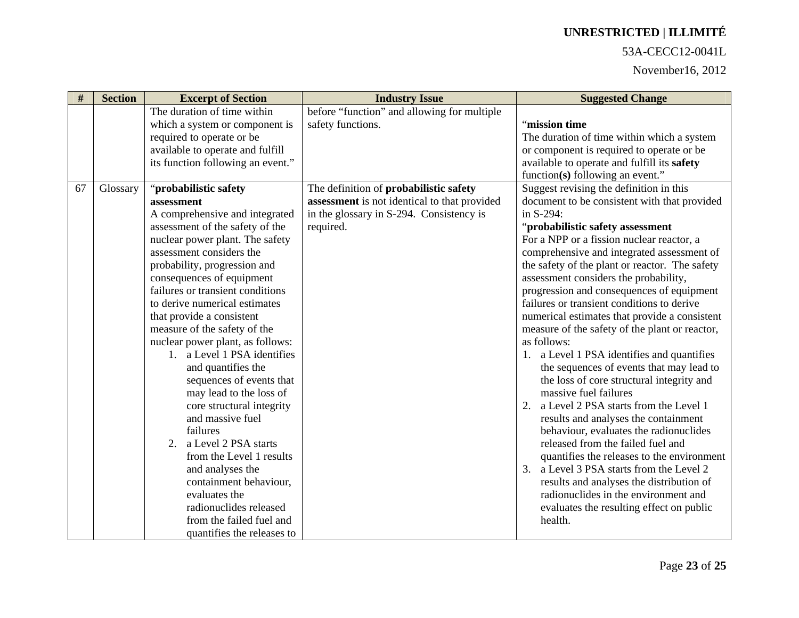### 53A-CECC12-0041L

| #  | <b>Section</b> | <b>Excerpt of Section</b>         | <b>Industry Issue</b>                        | <b>Suggested Change</b>                        |
|----|----------------|-----------------------------------|----------------------------------------------|------------------------------------------------|
|    |                | The duration of time within       | before "function" and allowing for multiple  |                                                |
|    |                | which a system or component is    | safety functions.                            | "mission time                                  |
|    |                | required to operate or be         |                                              | The duration of time within which a system     |
|    |                | available to operate and fulfill  |                                              | or component is required to operate or be      |
|    |                | its function following an event." |                                              | available to operate and fulfill its safety    |
|    |                |                                   |                                              | function(s) following an event."               |
| 67 | Glossary       | "probabilistic safety             | The definition of probabilistic safety       | Suggest revising the definition in this        |
|    |                | assessment                        | assessment is not identical to that provided | document to be consistent with that provided   |
|    |                | A comprehensive and integrated    | in the glossary in S-294. Consistency is     | in S-294:                                      |
|    |                | assessment of the safety of the   | required.                                    | "probabilistic safety assessment               |
|    |                | nuclear power plant. The safety   |                                              | For a NPP or a fission nuclear reactor, a      |
|    |                | assessment considers the          |                                              | comprehensive and integrated assessment of     |
|    |                | probability, progression and      |                                              | the safety of the plant or reactor. The safety |
|    |                | consequences of equipment         |                                              | assessment considers the probability,          |
|    |                | failures or transient conditions  |                                              | progression and consequences of equipment      |
|    |                | to derive numerical estimates     |                                              | failures or transient conditions to derive     |
|    |                | that provide a consistent         |                                              | numerical estimates that provide a consistent  |
|    |                | measure of the safety of the      |                                              | measure of the safety of the plant or reactor, |
|    |                | nuclear power plant, as follows:  |                                              | as follows:                                    |
|    |                | 1. a Level 1 PSA identifies       |                                              | 1. a Level 1 PSA identifies and quantifies     |
|    |                | and quantifies the                |                                              | the sequences of events that may lead to       |
|    |                | sequences of events that          |                                              | the loss of core structural integrity and      |
|    |                | may lead to the loss of           |                                              | massive fuel failures                          |
|    |                | core structural integrity         |                                              | a Level 2 PSA starts from the Level 1          |
|    |                | and massive fuel                  |                                              | results and analyses the containment           |
|    |                | failures                          |                                              | behaviour, evaluates the radionuclides         |
|    |                | 2. a Level 2 PSA starts           |                                              | released from the failed fuel and              |
|    |                | from the Level 1 results          |                                              | quantifies the releases to the environment     |
|    |                | and analyses the                  |                                              | 3. a Level 3 PSA starts from the Level 2       |
|    |                | containment behaviour,            |                                              | results and analyses the distribution of       |
|    |                | evaluates the                     |                                              | radionuclides in the environment and           |
|    |                | radionuclides released            |                                              | evaluates the resulting effect on public       |
|    |                | from the failed fuel and          |                                              | health.                                        |
|    |                | quantifies the releases to        |                                              |                                                |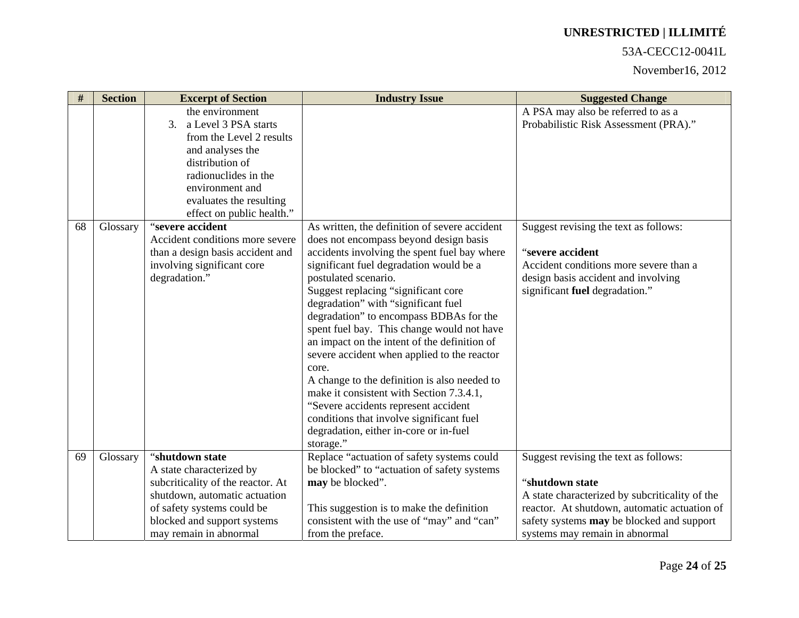### 53A-CECC12-0041L

| $\#$ | <b>Section</b> | <b>Excerpt of Section</b>                                                                                                                                                                                                                                                                                                                                  | <b>Industry Issue</b>                                                                                                                                                                                                                                                                                                                                                                                                                                                                                                                                                                                                         | <b>Suggested Change</b>                                                                                                                                                                                                                                     |
|------|----------------|------------------------------------------------------------------------------------------------------------------------------------------------------------------------------------------------------------------------------------------------------------------------------------------------------------------------------------------------------------|-------------------------------------------------------------------------------------------------------------------------------------------------------------------------------------------------------------------------------------------------------------------------------------------------------------------------------------------------------------------------------------------------------------------------------------------------------------------------------------------------------------------------------------------------------------------------------------------------------------------------------|-------------------------------------------------------------------------------------------------------------------------------------------------------------------------------------------------------------------------------------------------------------|
| 68   | Glossary       | the environment<br>3. a Level 3 PSA starts<br>from the Level 2 results<br>and analyses the<br>distribution of<br>radionuclides in the<br>environment and<br>evaluates the resulting<br>effect on public health."<br>"severe accident<br>Accident conditions more severe<br>than a design basis accident and<br>involving significant core<br>degradation." | As written, the definition of severe accident<br>does not encompass beyond design basis<br>accidents involving the spent fuel bay where<br>significant fuel degradation would be a<br>postulated scenario.<br>Suggest replacing "significant core<br>degradation" with "significant fuel<br>degradation" to encompass BDBAs for the<br>spent fuel bay. This change would not have<br>an impact on the intent of the definition of<br>severe accident when applied to the reactor<br>core.<br>A change to the definition is also needed to<br>make it consistent with Section 7.3.4.1,<br>"Severe accidents represent accident | A PSA may also be referred to as a<br>Probabilistic Risk Assessment (PRA)."<br>Suggest revising the text as follows:<br>"severe accident<br>Accident conditions more severe than a<br>design basis accident and involving<br>significant fuel degradation." |
|      |                |                                                                                                                                                                                                                                                                                                                                                            | conditions that involve significant fuel<br>degradation, either in-core or in-fuel<br>storage."                                                                                                                                                                                                                                                                                                                                                                                                                                                                                                                               |                                                                                                                                                                                                                                                             |
| 69   | Glossary       | "shutdown state<br>A state characterized by<br>subcriticality of the reactor. At<br>shutdown, automatic actuation<br>of safety systems could be<br>blocked and support systems<br>may remain in abnormal                                                                                                                                                   | Replace "actuation of safety systems could<br>be blocked" to "actuation of safety systems<br>may be blocked".<br>This suggestion is to make the definition<br>consistent with the use of "may" and "can"<br>from the preface.                                                                                                                                                                                                                                                                                                                                                                                                 | Suggest revising the text as follows:<br>"shutdown state<br>A state characterized by subcriticality of the<br>reactor. At shutdown, automatic actuation of<br>safety systems may be blocked and support<br>systems may remain in abnormal                   |